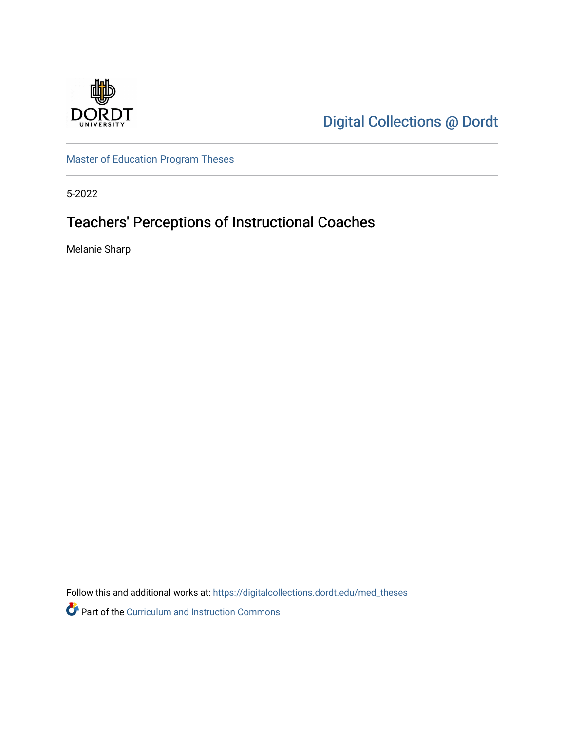

[Digital Collections @ Dordt](https://digitalcollections.dordt.edu/) 

[Master of Education Program Theses](https://digitalcollections.dordt.edu/med_theses) 

5-2022

# Teachers' Perceptions of Instructional Coaches

Melanie Sharp

Follow this and additional works at: [https://digitalcollections.dordt.edu/med\\_theses](https://digitalcollections.dordt.edu/med_theses?utm_source=digitalcollections.dordt.edu%2Fmed_theses%2F160&utm_medium=PDF&utm_campaign=PDFCoverPages)

Part of the [Curriculum and Instruction Commons](http://network.bepress.com/hgg/discipline/786?utm_source=digitalcollections.dordt.edu%2Fmed_theses%2F160&utm_medium=PDF&utm_campaign=PDFCoverPages)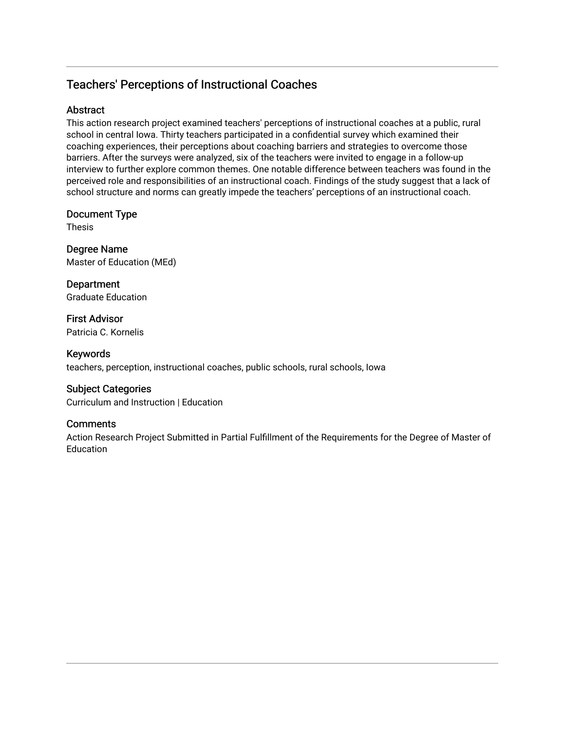## Teachers' Perceptions of Instructional Coaches

## Abstract

This action research project examined teachers' perceptions of instructional coaches at a public, rural school in central Iowa. Thirty teachers participated in a confidential survey which examined their coaching experiences, their perceptions about coaching barriers and strategies to overcome those barriers. After the surveys were analyzed, six of the teachers were invited to engage in a follow-up interview to further explore common themes. One notable difference between teachers was found in the perceived role and responsibilities of an instructional coach. Findings of the study suggest that a lack of school structure and norms can greatly impede the teachers' perceptions of an instructional coach.

## Document Type

Thesis

Degree Name Master of Education (MEd)

**Department** Graduate Education

First Advisor Patricia C. Kornelis

Keywords teachers, perception, instructional coaches, public schools, rural schools, Iowa

## Subject Categories

Curriculum and Instruction | Education

## **Comments**

Action Research Project Submitted in Partial Fulfillment of the Requirements for the Degree of Master of Education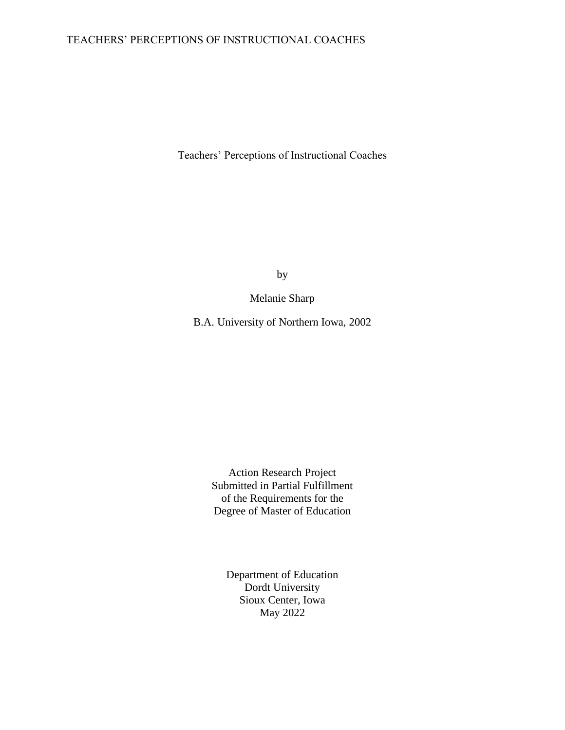## TEACHERS' PERCEPTIONS OF INSTRUCTIONAL COACHES

Teachers' Perceptions of Instructional Coaches

by

Melanie Sharp

B.A. University of Northern Iowa, 2002

Action Research Project Submitted in Partial Fulfillment of the Requirements for the Degree of Master of Education

Department of Education Dordt University Sioux Center, Iowa May 2022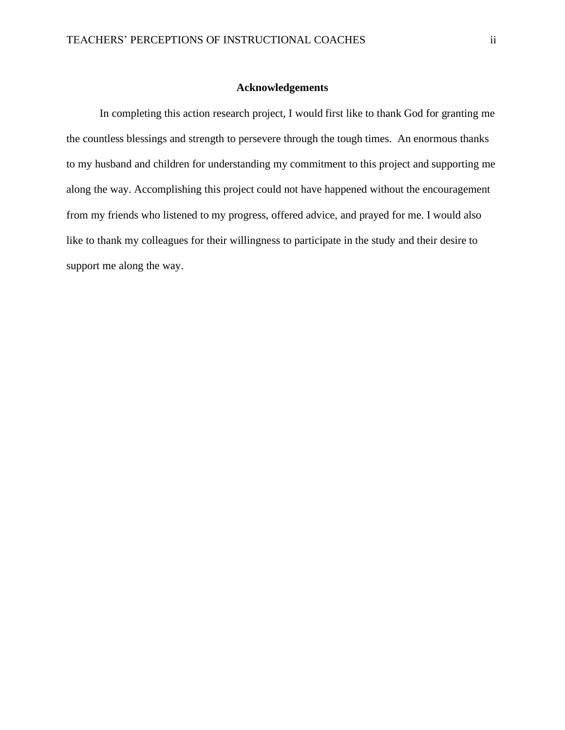## **Acknowledgements**

In completing this action research project, I would first like to thank God for granting me the countless blessings and strength to persevere through the tough times. An enormous thanks to my husband and children for understanding my commitment to this project and supporting me along the way. Accomplishing this project could not have happened without the encouragement from my friends who listened to my progress, offered advice, and prayed for me. I would also like to thank my colleagues for their willingness to participate in the study and their desire to support me along the way.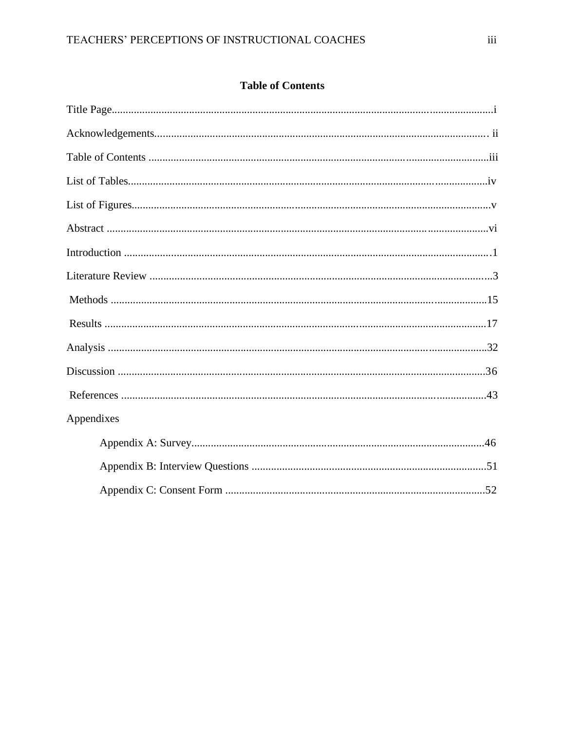## **Table of Contents**

| Appendixes |  |
|------------|--|
|            |  |
|            |  |
|            |  |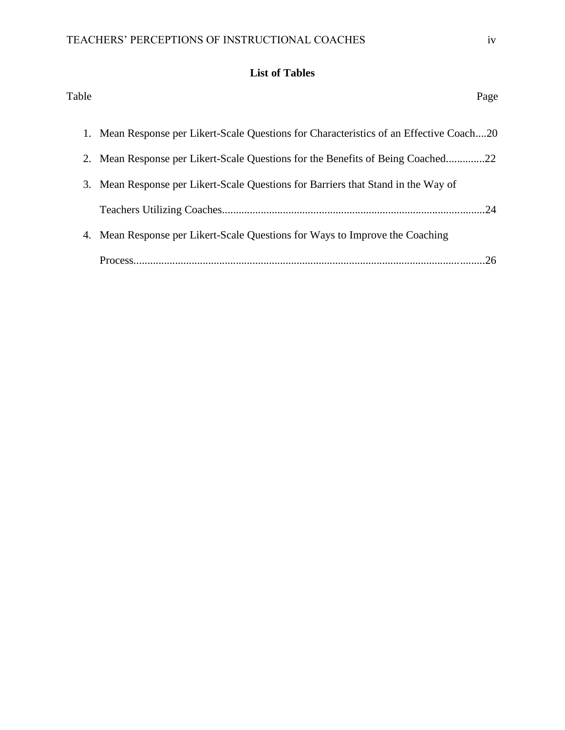## **List of Tables**

| 1. Mean Response per Likert-Scale Questions for Characteristics of an Effective Coach20<br>2.<br>Mean Response per Likert-Scale Questions for Barriers that Stand in the Way of<br>3.<br>Mean Response per Likert-Scale Questions for Ways to Improve the Coaching<br>4. | Table | Page                                                                         |
|--------------------------------------------------------------------------------------------------------------------------------------------------------------------------------------------------------------------------------------------------------------------------|-------|------------------------------------------------------------------------------|
|                                                                                                                                                                                                                                                                          |       |                                                                              |
|                                                                                                                                                                                                                                                                          |       | Mean Response per Likert-Scale Questions for the Benefits of Being Coached22 |
|                                                                                                                                                                                                                                                                          |       |                                                                              |
|                                                                                                                                                                                                                                                                          |       | 24                                                                           |
|                                                                                                                                                                                                                                                                          |       |                                                                              |
|                                                                                                                                                                                                                                                                          |       | 26                                                                           |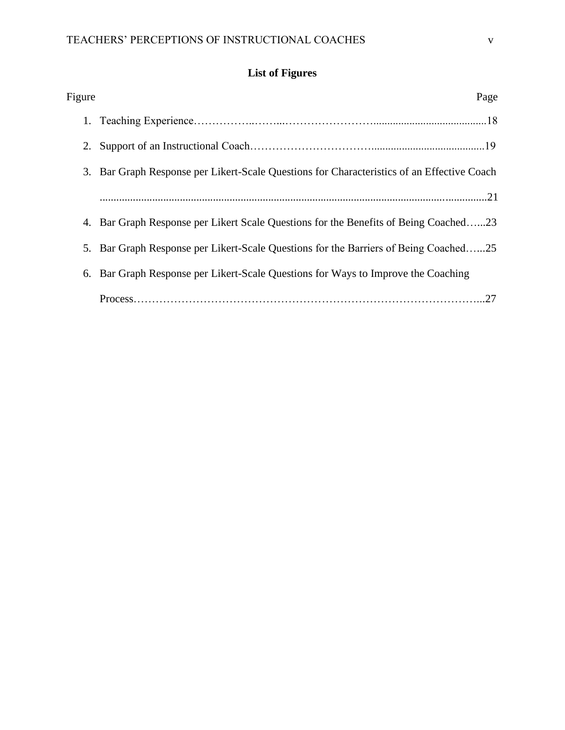## **List of Figures**

| Page                                                                                       | Figure |
|--------------------------------------------------------------------------------------------|--------|
|                                                                                            |        |
|                                                                                            |        |
| 3. Bar Graph Response per Likert-Scale Questions for Characteristics of an Effective Coach |        |
|                                                                                            |        |
| 4. Bar Graph Response per Likert Scale Questions for the Benefits of Being Coached23       |        |
| 5. Bar Graph Response per Likert-Scale Questions for the Barriers of Being Coached25       |        |
| Bar Graph Response per Likert-Scale Questions for Ways to Improve the Coaching             | 6.     |
|                                                                                            |        |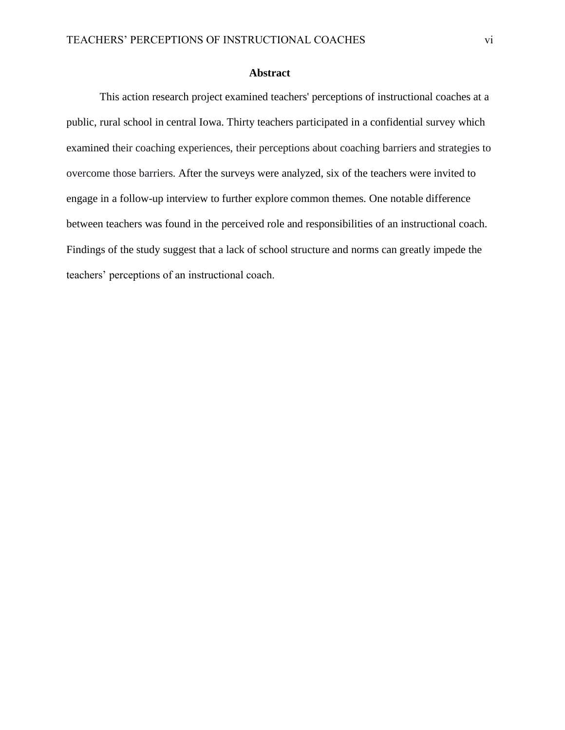## **Abstract**

This action research project examined teachers' perceptions of instructional coaches at a public, rural school in central Iowa. Thirty teachers participated in a confidential survey which examined their coaching experiences, their perceptions about coaching barriers and strategies to overcome those barriers. After the surveys were analyzed, six of the teachers were invited to engage in a follow-up interview to further explore common themes. One notable difference between teachers was found in the perceived role and responsibilities of an instructional coach. Findings of the study suggest that a lack of school structure and norms can greatly impede the teachers' perceptions of an instructional coach.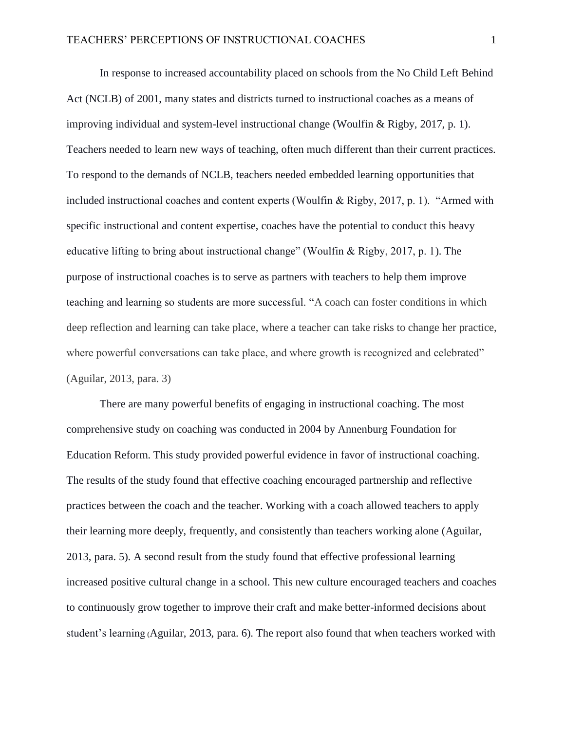In response to increased accountability placed on schools from the No Child Left Behind Act (NCLB) of 2001, many states and districts turned to instructional coaches as a means of improving individual and system-level instructional change (Woulfin & Rigby, 2017, p. 1). Teachers needed to learn new ways of teaching, often much different than their current practices. To respond to the demands of NCLB, teachers needed embedded learning opportunities that included instructional coaches and content experts (Woulfin & Rigby, 2017, p. 1). "Armed with specific instructional and content expertise, coaches have the potential to conduct this heavy educative lifting to bring about instructional change" (Woulfin & Rigby, 2017, p. 1). The purpose of instructional coaches is to serve as partners with teachers to help them improve teaching and learning so students are more successful. "A coach can foster conditions in which deep reflection and learning can take place, where a teacher can take risks to change her practice, where powerful conversations can take place, and where growth is recognized and celebrated" (Aguilar, 2013, para. 3)

There are many powerful benefits of engaging in instructional coaching. The most comprehensive study on coaching was conducted in 2004 by Annenburg Foundation for Education Reform. This study provided powerful evidence in favor of instructional coaching. The results of the study found that effective coaching encouraged partnership and reflective practices between the coach and the teacher. Working with a coach allowed teachers to apply their learning more deeply, frequently, and consistently than teachers working alone (Aguilar, 2013, para. 5). A second result from the study found that effective professional learning increased positive cultural change in a school. This new culture encouraged teachers and coaches to continuously grow together to improve their craft and make better-informed decisions about student's learning (Aguilar, 2013, para. 6). The report also found that when teachers worked with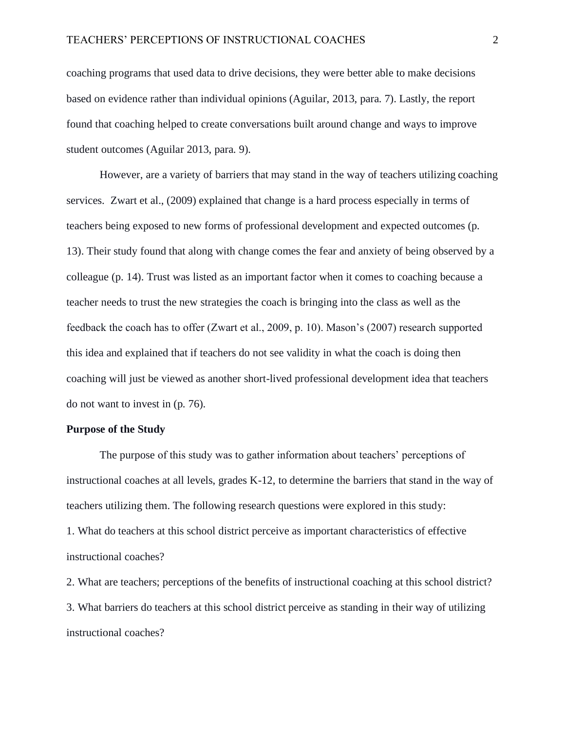coaching programs that used data to drive decisions, they were better able to make decisions based on evidence rather than individual opinions (Aguilar, 2013, para. 7). Lastly, the report found that coaching helped to create conversations built around change and ways to improve student outcomes (Aguilar 2013, para. 9).

However, are a variety of barriers that may stand in the way of teachers utilizing coaching services. Zwart et al., (2009) explained that change is a hard process especially in terms of teachers being exposed to new forms of professional development and expected outcomes (p. 13). Their study found that along with change comes the fear and anxiety of being observed by a colleague (p. 14). Trust was listed as an important factor when it comes to coaching because a teacher needs to trust the new strategies the coach is bringing into the class as well as the feedback the coach has to offer (Zwart et al., 2009, p. 10). Mason's (2007) research supported this idea and explained that if teachers do not see validity in what the coach is doing then coaching will just be viewed as another short-lived professional development idea that teachers do not want to invest in (p. 76).

#### **Purpose of the Study**

The purpose of this study was to gather information about teachers' perceptions of instructional coaches at all levels, grades K-12, to determine the barriers that stand in the way of teachers utilizing them. The following research questions were explored in this study: 1. What do teachers at this school district perceive as important characteristics of effective instructional coaches?

2. What are teachers; perceptions of the benefits of instructional coaching at this school district? 3. What barriers do teachers at this school district perceive as standing in their way of utilizing instructional coaches?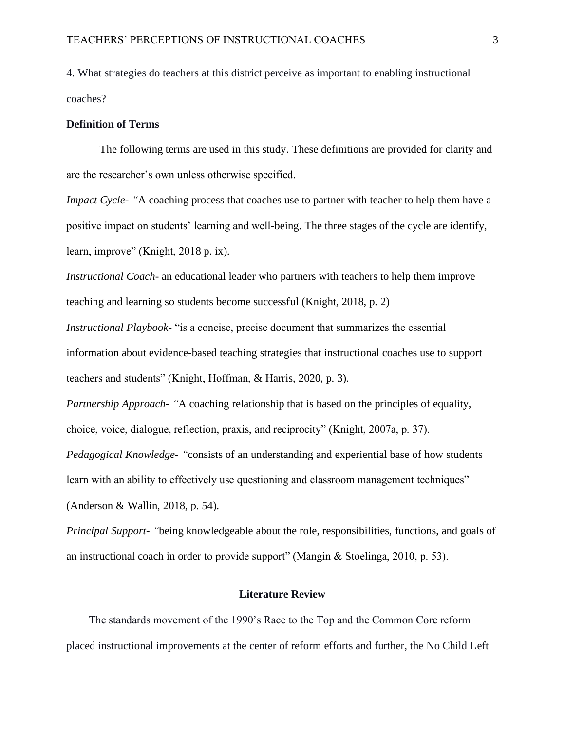4. What strategies do teachers at this district perceive as important to enabling instructional coaches?

### **Definition of Terms**

The following terms are used in this study. These definitions are provided for clarity and are the researcher's own unless otherwise specified.

*Impact Cycle-* "A coaching process that coaches use to partner with teacher to help them have a positive impact on students' learning and well-being. The three stages of the cycle are identify, learn, improve" (Knight, 2018 p. ix).

*Instructional Coach*- an educational leader who partners with teachers to help them improve teaching and learning so students become successful (Knight, 2018, p. 2)

*Instructional Playbook-* "is a concise, precise document that summarizes the essential information about evidence-based teaching strategies that instructional coaches use to support teachers and students" (Knight, Hoffman, & Harris, 2020, p. 3).

*Partnership Approach- "*A coaching relationship that is based on the principles of equality, choice, voice, dialogue, reflection, praxis, and reciprocity" (Knight, 2007a, p. 37).

*Pedagogical Knowledge- "*consists of an understanding and experiential base of how students

learn with an ability to effectively use questioning and classroom management techniques"

(Anderson & Wallin, 2018, p. 54).

*Principal Support- "*being knowledgeable about the role, responsibilities, functions, and goals of an instructional coach in order to provide support" (Mangin & Stoelinga, 2010, p. 53).

#### **Literature Review**

 The standards movement of the 1990's Race to the Top and the Common Core reform placed instructional improvements at the center of reform efforts and further, the No Child Left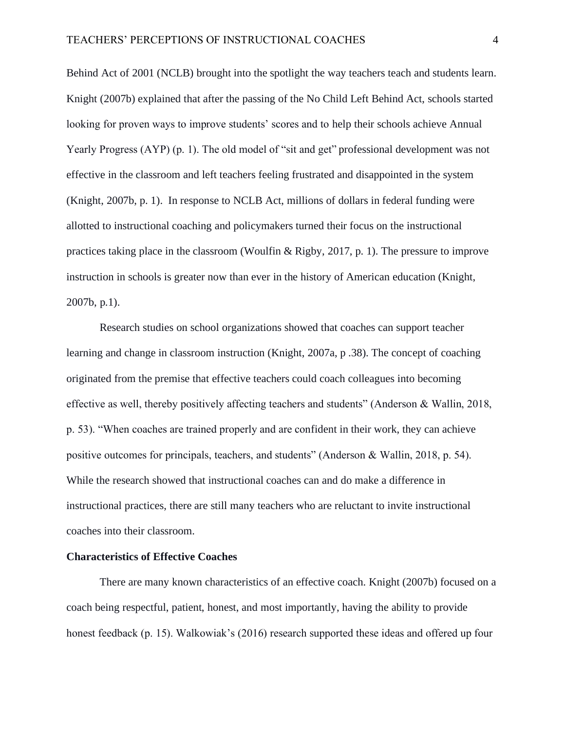Behind Act of 2001 (NCLB) brought into the spotlight the way teachers teach and students learn. Knight (2007b) explained that after the passing of the No Child Left Behind Act, schools started looking for proven ways to improve students' scores and to help their schools achieve Annual Yearly Progress (AYP) (p. 1). The old model of "sit and get" professional development was not effective in the classroom and left teachers feeling frustrated and disappointed in the system (Knight, 2007b, p. 1). In response to NCLB Act, millions of dollars in federal funding were allotted to instructional coaching and policymakers turned their focus on the instructional practices taking place in the classroom (Woulfin & Rigby, 2017, p. 1). The pressure to improve instruction in schools is greater now than ever in the history of American education (Knight, 2007b, p.1).

Research studies on school organizations showed that coaches can support teacher learning and change in classroom instruction (Knight, 2007a, p .38). The concept of coaching originated from the premise that effective teachers could coach colleagues into becoming effective as well, thereby positively affecting teachers and students" (Anderson & Wallin, 2018, p. 53). "When coaches are trained properly and are confident in their work, they can achieve positive outcomes for principals, teachers, and students" (Anderson & Wallin, 2018, p. 54). While the research showed that instructional coaches can and do make a difference in instructional practices, there are still many teachers who are reluctant to invite instructional coaches into their classroom.

### **Characteristics of Effective Coaches**

There are many known characteristics of an effective coach. Knight (2007b) focused on a coach being respectful, patient, honest, and most importantly, having the ability to provide honest feedback (p. 15). Walkowiak's (2016) research supported these ideas and offered up four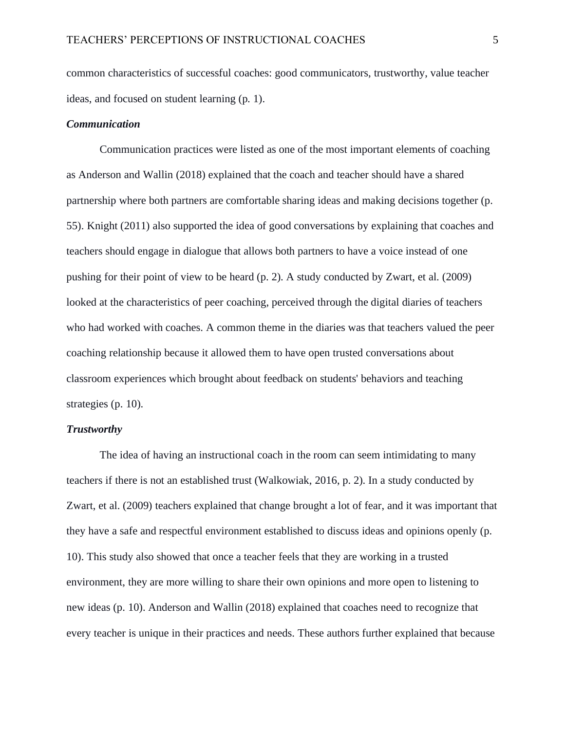common characteristics of successful coaches: good communicators, trustworthy, value teacher ideas, and focused on student learning (p. 1).

#### *Communication*

Communication practices were listed as one of the most important elements of coaching as Anderson and Wallin (2018) explained that the coach and teacher should have a shared partnership where both partners are comfortable sharing ideas and making decisions together (p. 55). Knight (2011) also supported the idea of good conversations by explaining that coaches and teachers should engage in dialogue that allows both partners to have a voice instead of one pushing for their point of view to be heard (p. 2). A study conducted by Zwart, et al. (2009) looked at the characteristics of peer coaching, perceived through the digital diaries of teachers who had worked with coaches. A common theme in the diaries was that teachers valued the peer coaching relationship because it allowed them to have open trusted conversations about classroom experiences which brought about feedback on students' behaviors and teaching strategies (p. 10).

### *Trustworthy*

The idea of having an instructional coach in the room can seem intimidating to many teachers if there is not an established trust (Walkowiak, 2016, p. 2). In a study conducted by Zwart, et al. (2009) teachers explained that change brought a lot of fear, and it was important that they have a safe and respectful environment established to discuss ideas and opinions openly (p. 10). This study also showed that once a teacher feels that they are working in a trusted environment, they are more willing to share their own opinions and more open to listening to new ideas (p. 10). Anderson and Wallin (2018) explained that coaches need to recognize that every teacher is unique in their practices and needs. These authors further explained that because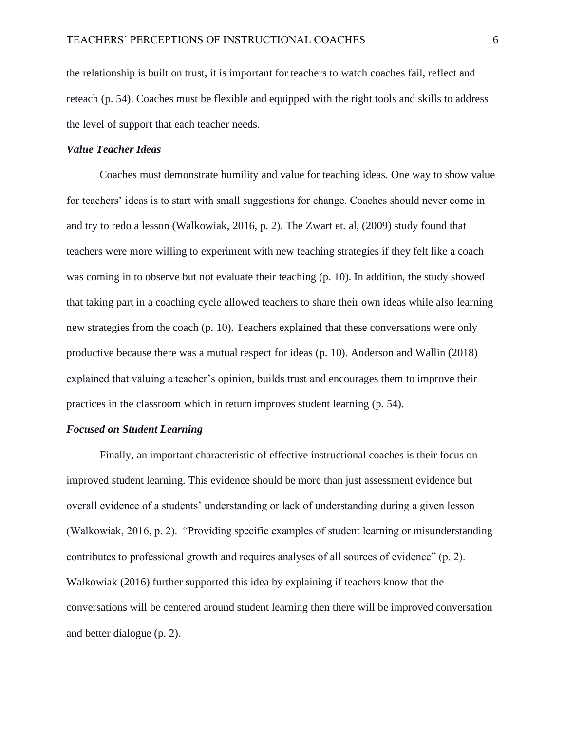the relationship is built on trust, it is important for teachers to watch coaches fail, reflect and reteach (p. 54). Coaches must be flexible and equipped with the right tools and skills to address the level of support that each teacher needs.

## *Value Teacher Ideas*

Coaches must demonstrate humility and value for teaching ideas. One way to show value for teachers' ideas is to start with small suggestions for change. Coaches should never come in and try to redo a lesson (Walkowiak, 2016, p. 2). The Zwart et. al, (2009) study found that teachers were more willing to experiment with new teaching strategies if they felt like a coach was coming in to observe but not evaluate their teaching (p. 10). In addition, the study showed that taking part in a coaching cycle allowed teachers to share their own ideas while also learning new strategies from the coach (p. 10). Teachers explained that these conversations were only productive because there was a mutual respect for ideas (p. 10). Anderson and Wallin (2018) explained that valuing a teacher's opinion, builds trust and encourages them to improve their practices in the classroom which in return improves student learning (p. 54).

### *Focused on Student Learning*

Finally, an important characteristic of effective instructional coaches is their focus on improved student learning. This evidence should be more than just assessment evidence but overall evidence of a students' understanding or lack of understanding during a given lesson (Walkowiak, 2016, p. 2). "Providing specific examples of student learning or misunderstanding contributes to professional growth and requires analyses of all sources of evidence" (p. 2). Walkowiak (2016) further supported this idea by explaining if teachers know that the conversations will be centered around student learning then there will be improved conversation and better dialogue (p. 2).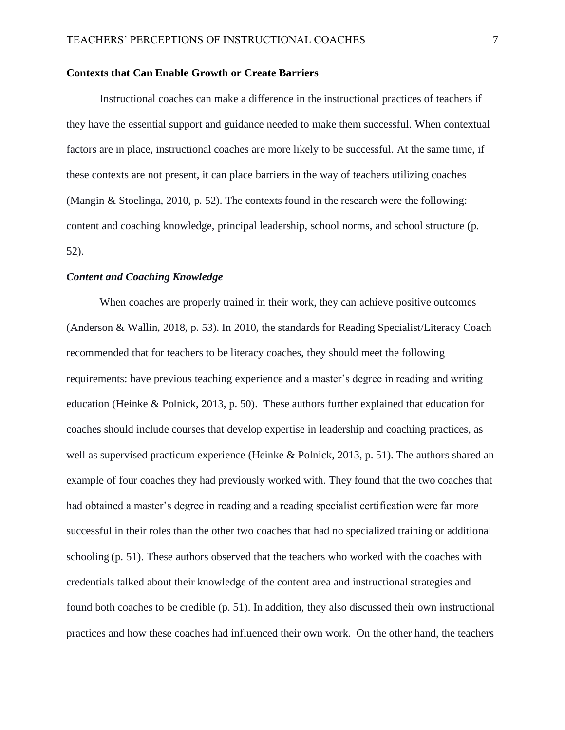#### **Contexts that Can Enable Growth or Create Barriers**

Instructional coaches can make a difference in the instructional practices of teachers if they have the essential support and guidance needed to make them successful. When contextual factors are in place, instructional coaches are more likely to be successful. At the same time, if these contexts are not present, it can place barriers in the way of teachers utilizing coaches (Mangin & Stoelinga, 2010, p. 52). The contexts found in the research were the following: content and coaching knowledge, principal leadership, school norms, and school structure (p. 52).

### *Content and Coaching Knowledge*

When coaches are properly trained in their work, they can achieve positive outcomes (Anderson & Wallin, 2018, p. 53). In 2010, the standards for Reading Specialist/Literacy Coach recommended that for teachers to be literacy coaches, they should meet the following requirements: have previous teaching experience and a master's degree in reading and writing education (Heinke & Polnick, 2013, p. 50). These authors further explained that education for coaches should include courses that develop expertise in leadership and coaching practices, as well as supervised practicum experience (Heinke & Polnick, 2013, p. 51). The authors shared an example of four coaches they had previously worked with. They found that the two coaches that had obtained a master's degree in reading and a reading specialist certification were far more successful in their roles than the other two coaches that had no specialized training or additional schooling (p. 51). These authors observed that the teachers who worked with the coaches with credentials talked about their knowledge of the content area and instructional strategies and found both coaches to be credible (p. 51). In addition, they also discussed their own instructional practices and how these coaches had influenced their own work. On the other hand, the teachers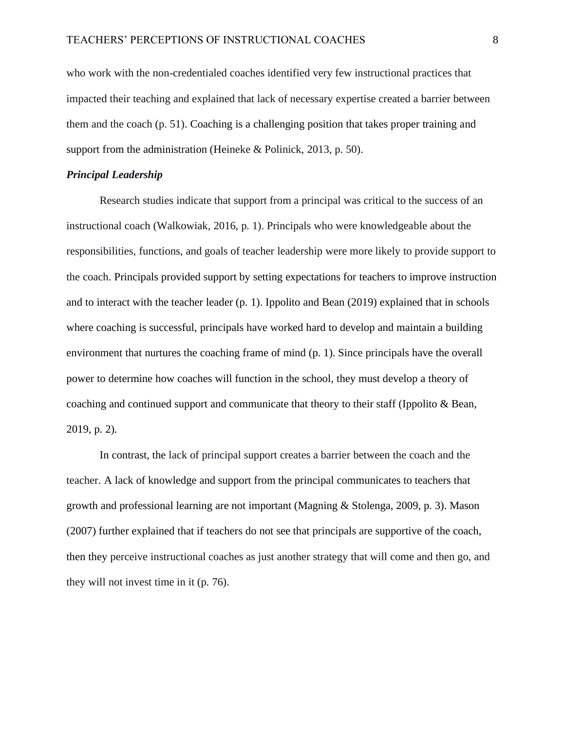who work with the non-credentialed coaches identified very few instructional practices that impacted their teaching and explained that lack of necessary expertise created a barrier between them and the coach (p. 51). Coaching is a challenging position that takes proper training and support from the administration (Heineke & Polinick, 2013, p. 50).

## *Principal Leadership*

Research studies indicate that support from a principal was critical to the success of an instructional coach (Walkowiak, 2016, p. 1). Principals who were knowledgeable about the responsibilities, functions, and goals of teacher leadership were more likely to provide support to the coach. Principals provided support by setting expectations for teachers to improve instruction and to interact with the teacher leader (p. 1). Ippolito and Bean (2019) explained that in schools where coaching is successful, principals have worked hard to develop and maintain a building environment that nurtures the coaching frame of mind (p. 1). Since principals have the overall power to determine how coaches will function in the school, they must develop a theory of coaching and continued support and communicate that theory to their staff (Ippolito & Bean, 2019, p. 2).

In contrast, the lack of principal support creates a barrier between the coach and the teacher. A lack of knowledge and support from the principal communicates to teachers that growth and professional learning are not important (Magning & Stolenga, 2009, p. 3). Mason (2007) further explained that if teachers do not see that principals are supportive of the coach, then they perceive instructional coaches as just another strategy that will come and then go, and they will not invest time in it (p. 76).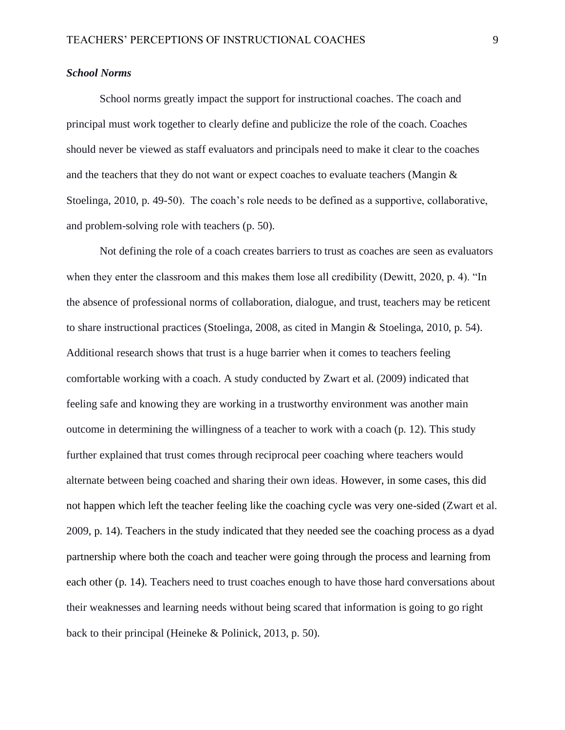### *School Norms*

School norms greatly impact the support for instructional coaches. The coach and principal must work together to clearly define and publicize the role of the coach. Coaches should never be viewed as staff evaluators and principals need to make it clear to the coaches and the teachers that they do not want or expect coaches to evaluate teachers (Mangin & Stoelinga, 2010, p. 49-50). The coach's role needs to be defined as a supportive, collaborative, and problem-solving role with teachers (p. 50).

Not defining the role of a coach creates barriers to trust as coaches are seen as evaluators when they enter the classroom and this makes them lose all credibility (Dewitt, 2020, p. 4). "In the absence of professional norms of collaboration, dialogue, and trust, teachers may be reticent to share instructional practices (Stoelinga, 2008, as cited in Mangin & Stoelinga, 2010, p. 54). Additional research shows that trust is a huge barrier when it comes to teachers feeling comfortable working with a coach. A study conducted by Zwart et al. (2009) indicated that feeling safe and knowing they are working in a trustworthy environment was another main outcome in determining the willingness of a teacher to work with a coach (p. 12). This study further explained that trust comes through reciprocal peer coaching where teachers would alternate between being coached and sharing their own ideas. However, in some cases, this did not happen which left the teacher feeling like the coaching cycle was very one-sided (Zwart et al. 2009, p. 14). Teachers in the study indicated that they needed see the coaching process as a dyad partnership where both the coach and teacher were going through the process and learning from each other (p. 14). Teachers need to trust coaches enough to have those hard conversations about their weaknesses and learning needs without being scared that information is going to go right back to their principal (Heineke & Polinick, 2013, p. 50).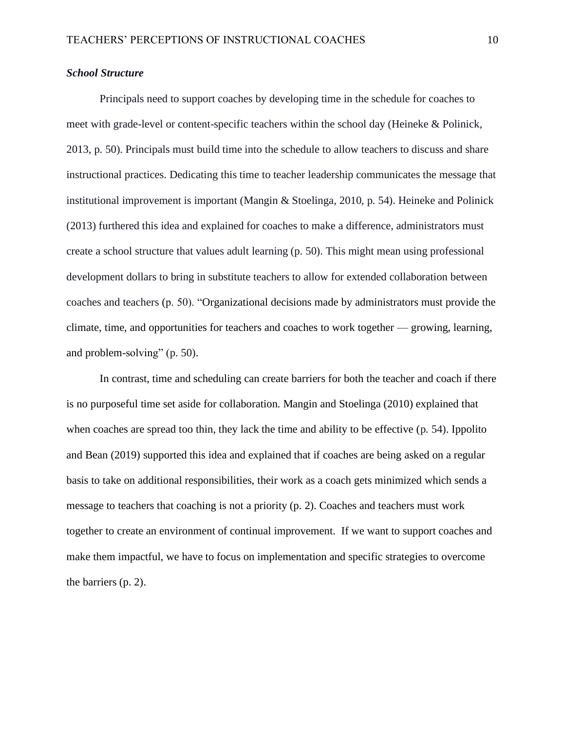## *School Structure*

Principals need to support coaches by developing time in the schedule for coaches to meet with grade-level or content-specific teachers within the school day (Heineke & Polinick, 2013, p. 50). Principals must build time into the schedule to allow teachers to discuss and share instructional practices. Dedicating this time to teacher leadership communicates the message that institutional improvement is important (Mangin & Stoelinga, 2010, p. 54). Heineke and Polinick (2013) furthered this idea and explained for coaches to make a difference, administrators must create a school structure that values adult learning (p. 50). This might mean using professional development dollars to bring in substitute teachers to allow for extended collaboration between coaches and teachers (p. 50). "Organizational decisions made by administrators must provide the climate, time, and opportunities for teachers and coaches to work together — growing, learning, and problem-solving" (p. 50).

In contrast, time and scheduling can create barriers for both the teacher and coach if there is no purposeful time set aside for collaboration. Mangin and Stoelinga (2010) explained that when coaches are spread too thin, they lack the time and ability to be effective (p. 54). Ippolito and Bean (2019) supported this idea and explained that if coaches are being asked on a regular basis to take on additional responsibilities, their work as a coach gets minimized which sends a message to teachers that coaching is not a priority (p. 2). Coaches and teachers must work together to create an environment of continual improvement. If we want to support coaches and make them impactful, we have to focus on implementation and specific strategies to overcome the barriers (p. 2).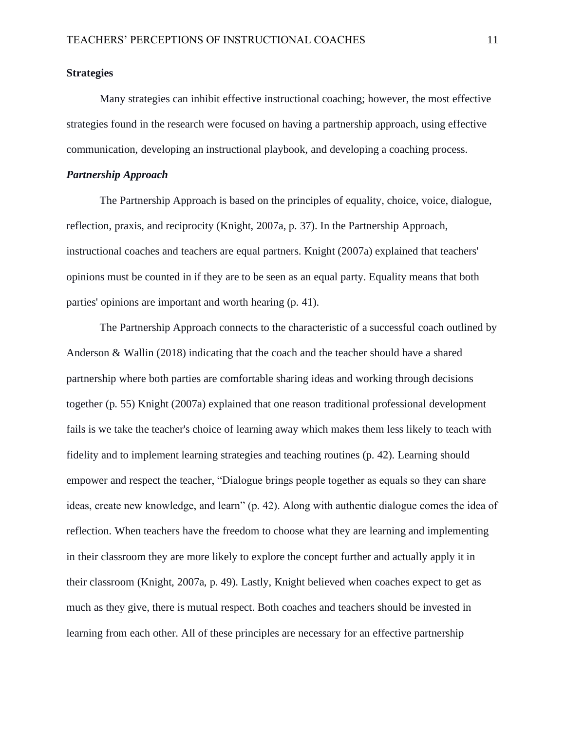## **Strategies**

Many strategies can inhibit effective instructional coaching; however, the most effective strategies found in the research were focused on having a partnership approach, using effective communication, developing an instructional playbook, and developing a coaching process.

#### *Partnership Approach*

The Partnership Approach is based on the principles of equality, choice, voice, dialogue, reflection, praxis, and reciprocity (Knight, 2007a, p. 37). In the Partnership Approach, instructional coaches and teachers are equal partners. Knight (2007a) explained that teachers' opinions must be counted in if they are to be seen as an equal party. Equality means that both parties' opinions are important and worth hearing (p. 41).

The Partnership Approach connects to the characteristic of a successful coach outlined by Anderson & Wallin (2018) indicating that the coach and the teacher should have a shared partnership where both parties are comfortable sharing ideas and working through decisions together (p. 55) Knight (2007a) explained that one reason traditional professional development fails is we take the teacher's choice of learning away which makes them less likely to teach with fidelity and to implement learning strategies and teaching routines (p. 42). Learning should empower and respect the teacher, "Dialogue brings people together as equals so they can share ideas, create new knowledge, and learn" (p. 42). Along with authentic dialogue comes the idea of reflection. When teachers have the freedom to choose what they are learning and implementing in their classroom they are more likely to explore the concept further and actually apply it in their classroom (Knight, 2007a, p. 49). Lastly, Knight believed when coaches expect to get as much as they give, there is mutual respect. Both coaches and teachers should be invested in learning from each other. All of these principles are necessary for an effective partnership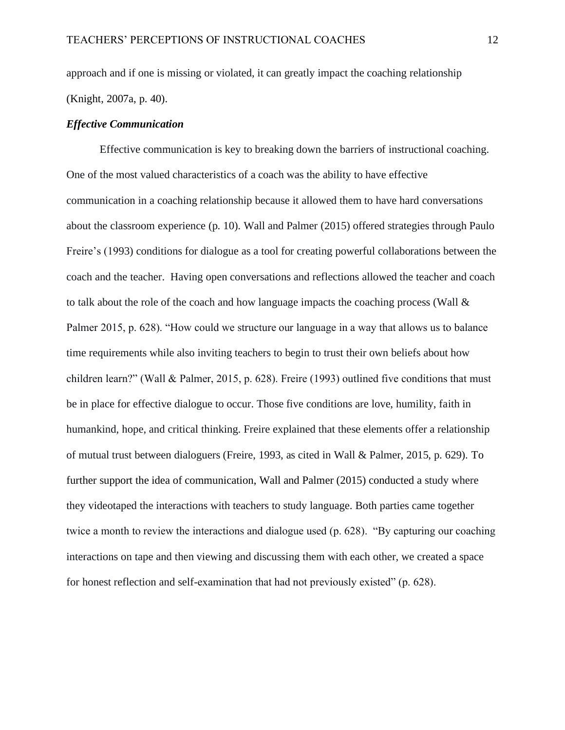approach and if one is missing or violated, it can greatly impact the coaching relationship (Knight, 2007a, p. 40).

#### *Effective Communication*

Effective communication is key to breaking down the barriers of instructional coaching. One of the most valued characteristics of a coach was the ability to have effective communication in a coaching relationship because it allowed them to have hard conversations about the classroom experience (p. 10). Wall and Palmer (2015) offered strategies through Paulo Freire's (1993) conditions for dialogue as a tool for creating powerful collaborations between the coach and the teacher. Having open conversations and reflections allowed the teacher and coach to talk about the role of the coach and how language impacts the coaching process (Wall & Palmer 2015, p. 628). "How could we structure our language in a way that allows us to balance time requirements while also inviting teachers to begin to trust their own beliefs about how children learn?" (Wall & Palmer, 2015, p. 628). Freire (1993) outlined five conditions that must be in place for effective dialogue to occur. Those five conditions are love, humility, faith in humankind, hope, and critical thinking. Freire explained that these elements offer a relationship of mutual trust between dialoguers (Freire, 1993, as cited in Wall & Palmer, 2015, p. 629). To further support the idea of communication, Wall and Palmer (2015) conducted a study where they videotaped the interactions with teachers to study language. Both parties came together twice a month to review the interactions and dialogue used (p. 628). "By capturing our coaching interactions on tape and then viewing and discussing them with each other, we created a space for honest reflection and self-examination that had not previously existed" (p. 628).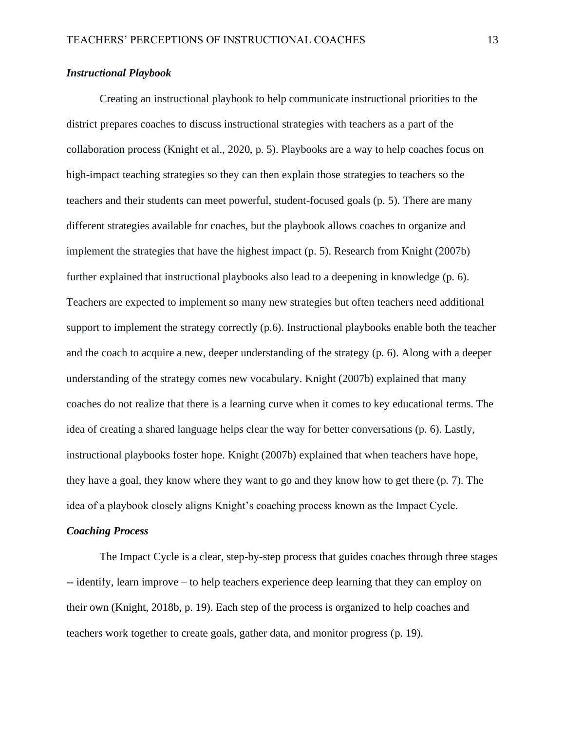## *Instructional Playbook*

Creating an instructional playbook to help communicate instructional priorities to the district prepares coaches to discuss instructional strategies with teachers as a part of the collaboration process (Knight et al., 2020, p. 5). Playbooks are a way to help coaches focus on high-impact teaching strategies so they can then explain those strategies to teachers so the teachers and their students can meet powerful, student-focused goals (p. 5). There are many different strategies available for coaches, but the playbook allows coaches to organize and implement the strategies that have the highest impact (p. 5). Research from Knight (2007b) further explained that instructional playbooks also lead to a deepening in knowledge (p. 6). Teachers are expected to implement so many new strategies but often teachers need additional support to implement the strategy correctly (p.6). Instructional playbooks enable both the teacher and the coach to acquire a new, deeper understanding of the strategy (p. 6). Along with a deeper understanding of the strategy comes new vocabulary. Knight (2007b) explained that many coaches do not realize that there is a learning curve when it comes to key educational terms. The idea of creating a shared language helps clear the way for better conversations (p. 6). Lastly, instructional playbooks foster hope. Knight (2007b) explained that when teachers have hope, they have a goal, they know where they want to go and they know how to get there (p. 7). The idea of a playbook closely aligns Knight's coaching process known as the Impact Cycle.

### *Coaching Process*

The Impact Cycle is a clear, step-by-step process that guides coaches through three stages -- identify, learn improve – to help teachers experience deep learning that they can employ on their own (Knight, 2018b, p. 19). Each step of the process is organized to help coaches and teachers work together to create goals, gather data, and monitor progress (p. 19).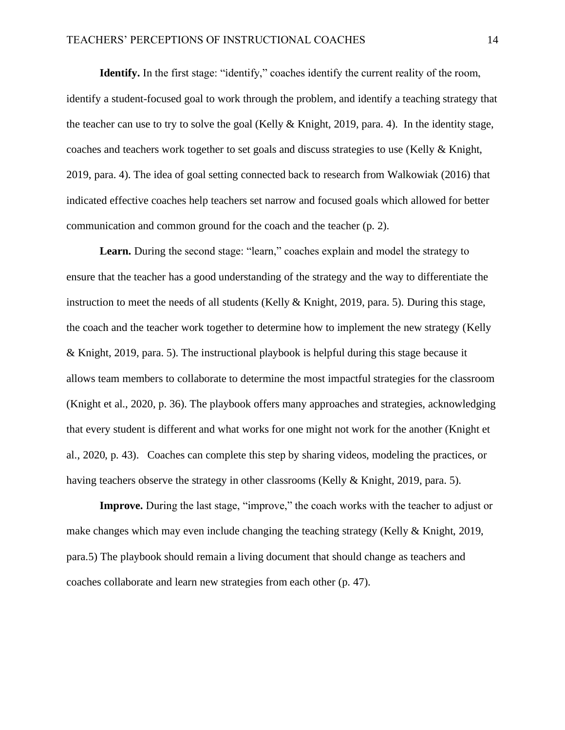**Identify.** In the first stage: "identify," coaches identify the current reality of the room, identify a student-focused goal to work through the problem, and identify a teaching strategy that the teacher can use to try to solve the goal (Kelly & Knight, 2019, para. 4). In the identity stage, coaches and teachers work together to set goals and discuss strategies to use (Kelly & Knight, 2019, para. 4). The idea of goal setting connected back to research from Walkowiak (2016) that indicated effective coaches help teachers set narrow and focused goals which allowed for better communication and common ground for the coach and the teacher (p. 2).

**Learn.** During the second stage: "learn," coaches explain and model the strategy to ensure that the teacher has a good understanding of the strategy and the way to differentiate the instruction to meet the needs of all students (Kelly & Knight, 2019, para. 5). During this stage, the coach and the teacher work together to determine how to implement the new strategy (Kelly & Knight, 2019, para. 5). The instructional playbook is helpful during this stage because it allows team members to collaborate to determine the most impactful strategies for the classroom (Knight et al., 2020, p. 36). The playbook offers many approaches and strategies, acknowledging that every student is different and what works for one might not work for the another (Knight et al., 2020, p. 43). Coaches can complete this step by sharing videos, modeling the practices, or having teachers observe the strategy in other classrooms (Kelly & Knight, 2019, para. 5).

**Improve.** During the last stage, "improve," the coach works with the teacher to adjust or make changes which may even include changing the teaching strategy (Kelly & Knight, 2019, para.5) The playbook should remain a living document that should change as teachers and coaches collaborate and learn new strategies from each other (p. 47).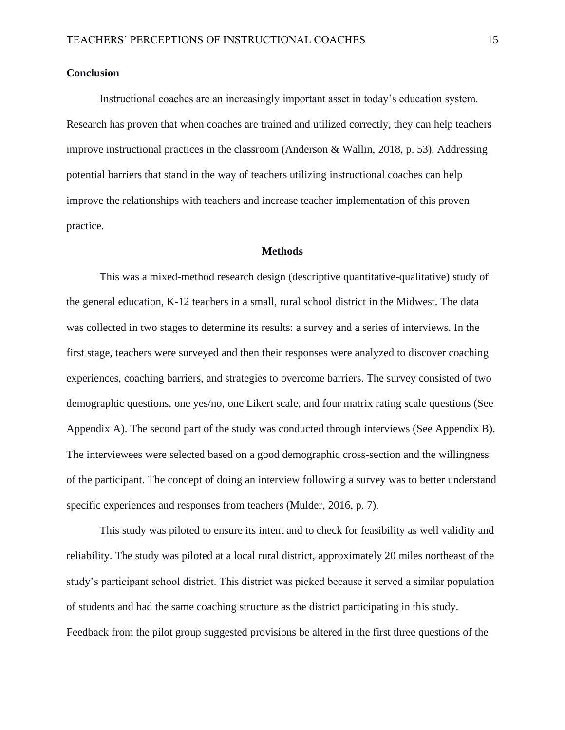### **Conclusion**

Instructional coaches are an increasingly important asset in today's education system. Research has proven that when coaches are trained and utilized correctly, they can help teachers improve instructional practices in the classroom (Anderson & Wallin, 2018, p. 53). Addressing potential barriers that stand in the way of teachers utilizing instructional coaches can help improve the relationships with teachers and increase teacher implementation of this proven practice.

#### **Methods**

This was a mixed-method research design (descriptive quantitative-qualitative) study of the general education, K-12 teachers in a small, rural school district in the Midwest. The data was collected in two stages to determine its results: a survey and a series of interviews. In the first stage, teachers were surveyed and then their responses were analyzed to discover coaching experiences, coaching barriers, and strategies to overcome barriers. The survey consisted of two demographic questions, one yes/no, one Likert scale, and four matrix rating scale questions (See Appendix A). The second part of the study was conducted through interviews (See Appendix B). The interviewees were selected based on a good demographic cross-section and the willingness of the participant. The concept of doing an interview following a survey was to better understand specific experiences and responses from teachers (Mulder, 2016, p. 7).

This study was piloted to ensure its intent and to check for feasibility as well validity and reliability. The study was piloted at a local rural district, approximately 20 miles northeast of the study's participant school district. This district was picked because it served a similar population of students and had the same coaching structure as the district participating in this study. Feedback from the pilot group suggested provisions be altered in the first three questions of the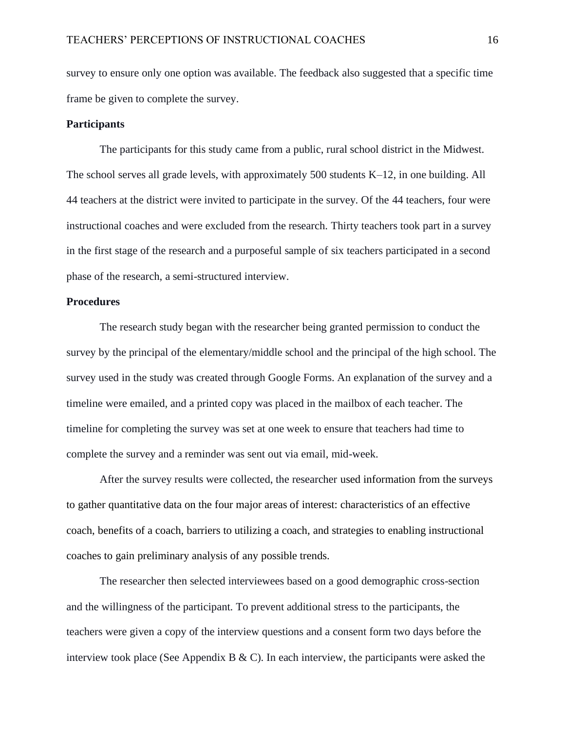survey to ensure only one option was available. The feedback also suggested that a specific time frame be given to complete the survey.

### **Participants**

The participants for this study came from a public, rural school district in the Midwest. The school serves all grade levels, with approximately 500 students K–12, in one building. All 44 teachers at the district were invited to participate in the survey. Of the 44 teachers, four were instructional coaches and were excluded from the research. Thirty teachers took part in a survey in the first stage of the research and a purposeful sample of six teachers participated in a second phase of the research, a semi-structured interview.

## **Procedures**

The research study began with the researcher being granted permission to conduct the survey by the principal of the elementary/middle school and the principal of the high school. The survey used in the study was created through Google Forms. An explanation of the survey and a timeline were emailed, and a printed copy was placed in the mailbox of each teacher. The timeline for completing the survey was set at one week to ensure that teachers had time to complete the survey and a reminder was sent out via email, mid-week.

After the survey results were collected, the researcher used information from the surveys to gather quantitative data on the four major areas of interest: characteristics of an effective coach, benefits of a coach, barriers to utilizing a coach, and strategies to enabling instructional coaches to gain preliminary analysis of any possible trends.

The researcher then selected interviewees based on a good demographic cross-section and the willingness of the participant. To prevent additional stress to the participants, the teachers were given a copy of the interview questions and a consent form two days before the interview took place (See Appendix B & C). In each interview, the participants were asked the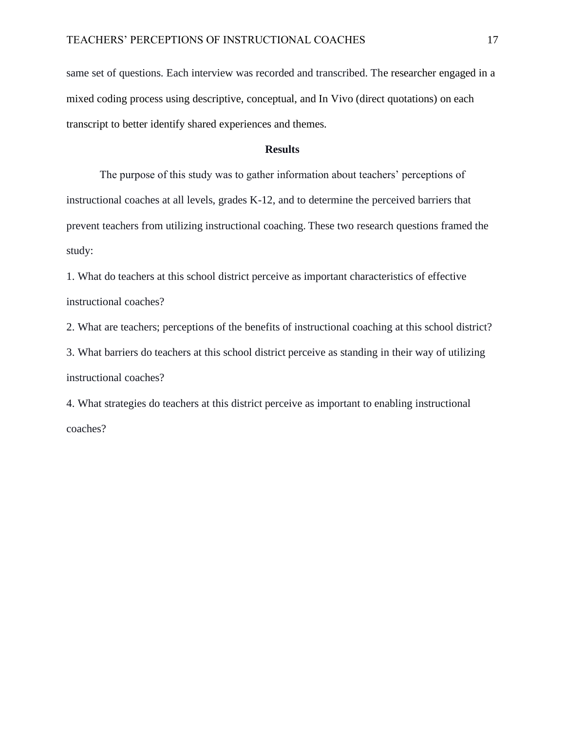same set of questions. Each interview was recorded and transcribed. The researcher engaged in a mixed coding process using descriptive, conceptual, and In Vivo (direct quotations) on each transcript to better identify shared experiences and themes.

## **Results**

The purpose of this study was to gather information about teachers' perceptions of instructional coaches at all levels, grades K-12, and to determine the perceived barriers that prevent teachers from utilizing instructional coaching. These two research questions framed the study:

1. What do teachers at this school district perceive as important characteristics of effective instructional coaches?

2. What are teachers; perceptions of the benefits of instructional coaching at this school district? 3. What barriers do teachers at this school district perceive as standing in their way of utilizing instructional coaches?

4. What strategies do teachers at this district perceive as important to enabling instructional coaches?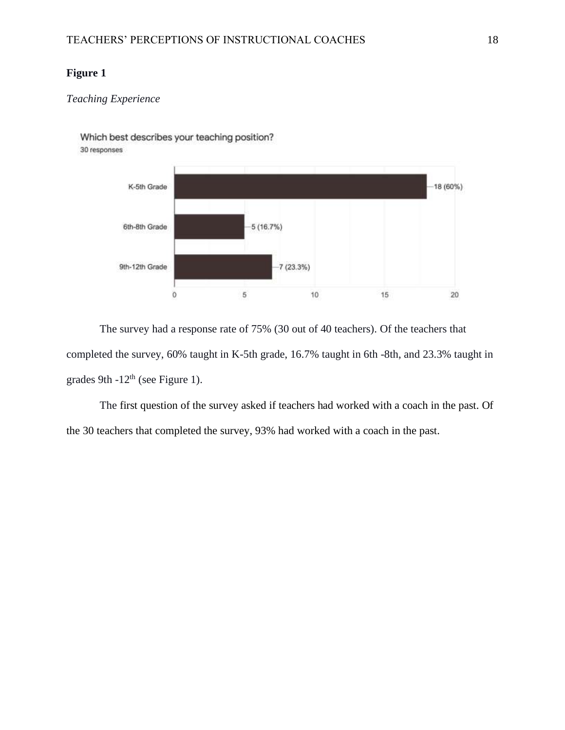## **Figure 1**

## *Teaching Experience*



Which best describes your teaching position? 30 responses

The survey had a response rate of 75% (30 out of 40 teachers). Of the teachers that completed the survey, 60% taught in K-5th grade, 16.7% taught in 6th -8th, and 23.3% taught in grades 9th  $-12<sup>th</sup>$  (see Figure 1).

The first question of the survey asked if teachers had worked with a coach in the past. Of the 30 teachers that completed the survey, 93% had worked with a coach in the past.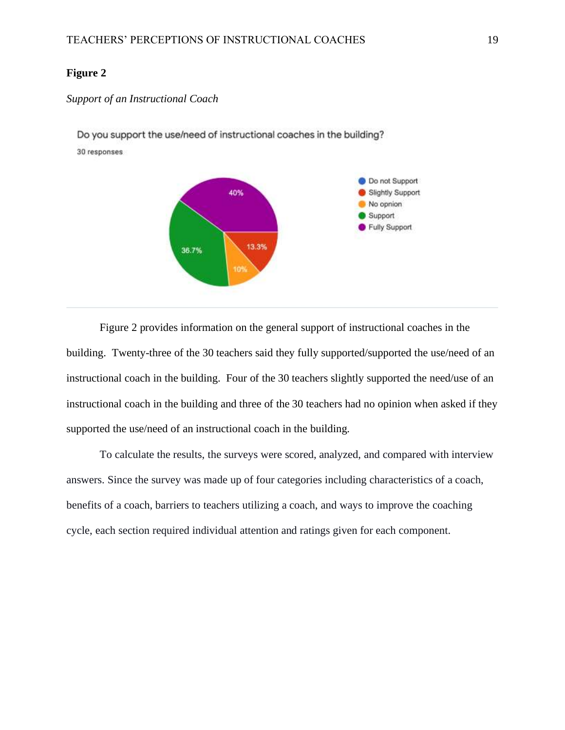## **Figure 2**

## *Support of an Instructional Coach*

Do you support the use/need of instructional coaches in the building? 30 responses



Figure 2 provides information on the general support of instructional coaches in the building. Twenty-three of the 30 teachers said they fully supported/supported the use/need of an instructional coach in the building. Four of the 30 teachers slightly supported the need/use of an instructional coach in the building and three of the 30 teachers had no opinion when asked if they supported the use/need of an instructional coach in the building.

To calculate the results, the surveys were scored, analyzed, and compared with interview answers. Since the survey was made up of four categories including characteristics of a coach, benefits of a coach, barriers to teachers utilizing a coach, and ways to improve the coaching cycle, each section required individual attention and ratings given for each component.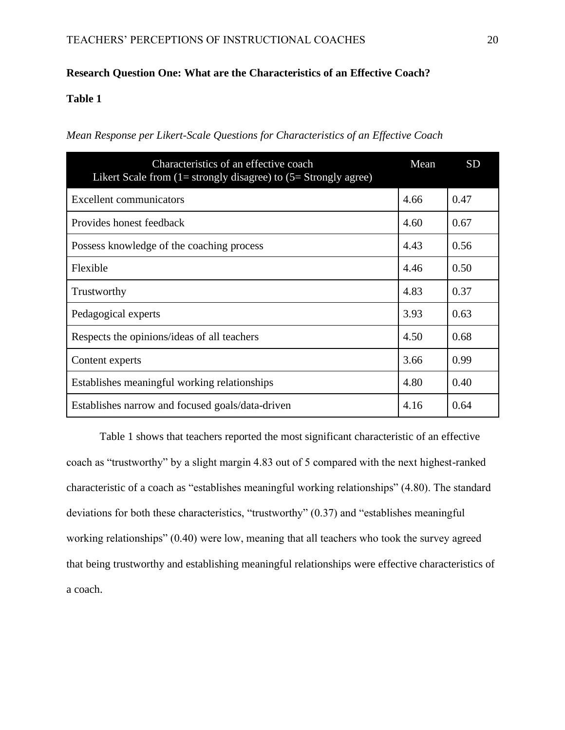## **Research Question One: What are the Characteristics of an Effective Coach?**

## **Table 1**

| Mean Response per Likert-Scale Questions for Characteristics of an Effective Coach |  |
|------------------------------------------------------------------------------------|--|
|                                                                                    |  |

| Characteristics of an effective coach<br>Likert Scale from $(1 =$ strongly disagree) to $(5 =$ Strongly agree) | Mean | <b>SD</b> |
|----------------------------------------------------------------------------------------------------------------|------|-----------|
| <b>Excellent communicators</b>                                                                                 | 4.66 | 0.47      |
| Provides honest feedback                                                                                       | 4.60 | 0.67      |
| Possess knowledge of the coaching process                                                                      | 4.43 | 0.56      |
| Flexible                                                                                                       | 4.46 | 0.50      |
| Trustworthy                                                                                                    | 4.83 | 0.37      |
| Pedagogical experts                                                                                            | 3.93 | 0.63      |
| Respects the opinions/ideas of all teachers                                                                    | 4.50 | 0.68      |
| Content experts                                                                                                | 3.66 | 0.99      |
| Establishes meaningful working relationships                                                                   | 4.80 | 0.40      |
| Establishes narrow and focused goals/data-driven                                                               | 4.16 | 0.64      |

Table 1 shows that teachers reported the most significant characteristic of an effective coach as "trustworthy" by a slight margin 4.83 out of 5 compared with the next highest-ranked characteristic of a coach as "establishes meaningful working relationships" (4.80). The standard deviations for both these characteristics, "trustworthy" (0.37) and "establishes meaningful working relationships" (0.40) were low, meaning that all teachers who took the survey agreed that being trustworthy and establishing meaningful relationships were effective characteristics of a coach.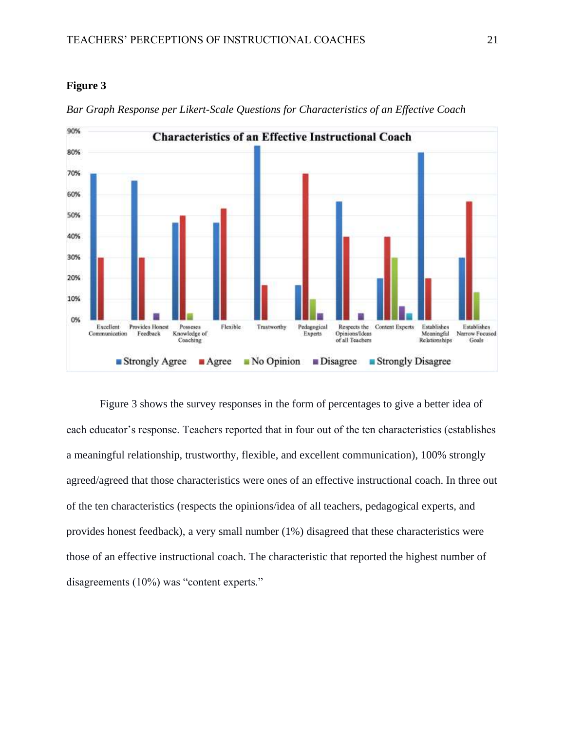## **Figure 3**



*Bar Graph Response per Likert-Scale Questions for Characteristics of an Effective Coach*

Figure 3 shows the survey responses in the form of percentages to give a better idea of each educator's response. Teachers reported that in four out of the ten characteristics (establishes a meaningful relationship, trustworthy, flexible, and excellent communication), 100% strongly agreed/agreed that those characteristics were ones of an effective instructional coach. In three out of the ten characteristics (respects the opinions/idea of all teachers, pedagogical experts, and provides honest feedback), a very small number (1%) disagreed that these characteristics were those of an effective instructional coach. The characteristic that reported the highest number of disagreements (10%) was "content experts."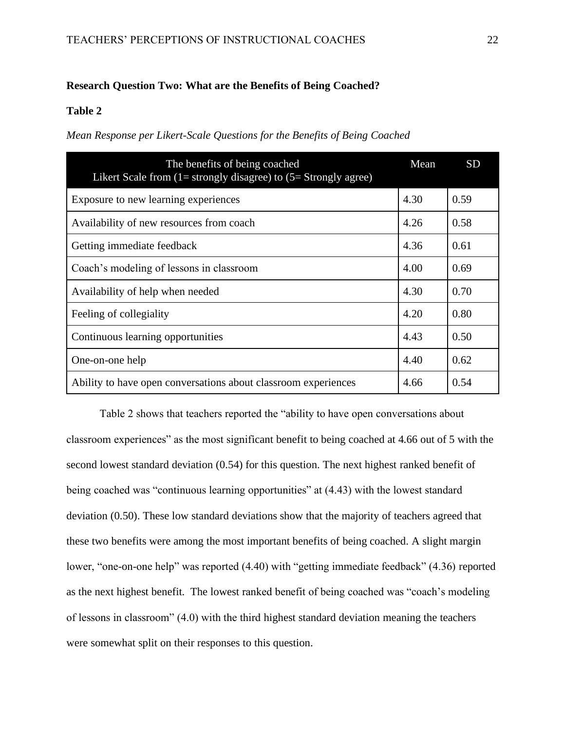## **Research Question Two: What are the Benefits of Being Coached?**

### **Table 2**

| Mean Response per Likert-Scale Questions for the Benefits of Being Coached |  |
|----------------------------------------------------------------------------|--|
|----------------------------------------------------------------------------|--|

| The benefits of being coached<br>Likert Scale from $(1 =$ strongly disagree) to $(5 =$ Strongly agree) | Mean | <b>SD</b> |
|--------------------------------------------------------------------------------------------------------|------|-----------|
| Exposure to new learning experiences                                                                   | 4.30 | 0.59      |
| Availability of new resources from coach                                                               | 4.26 | 0.58      |
| Getting immediate feedback                                                                             | 4.36 | 0.61      |
| Coach's modeling of lessons in classroom                                                               | 4.00 | 0.69      |
| Availability of help when needed                                                                       | 4.30 | 0.70      |
| Feeling of collegiality                                                                                | 4.20 | 0.80      |
| Continuous learning opportunities                                                                      | 4.43 | 0.50      |
| One-on-one help                                                                                        | 4.40 | 0.62      |
| Ability to have open conversations about classroom experiences                                         | 4.66 | 0.54      |

Table 2 shows that teachers reported the "ability to have open conversations about classroom experiences" as the most significant benefit to being coached at 4.66 out of 5 with the second lowest standard deviation (0.54) for this question. The next highest ranked benefit of being coached was "continuous learning opportunities" at (4.43) with the lowest standard deviation (0.50). These low standard deviations show that the majority of teachers agreed that these two benefits were among the most important benefits of being coached. A slight margin lower, "one-on-one help" was reported (4.40) with "getting immediate feedback" (4.36) reported as the next highest benefit. The lowest ranked benefit of being coached was "coach's modeling of lessons in classroom" (4.0) with the third highest standard deviation meaning the teachers were somewhat split on their responses to this question.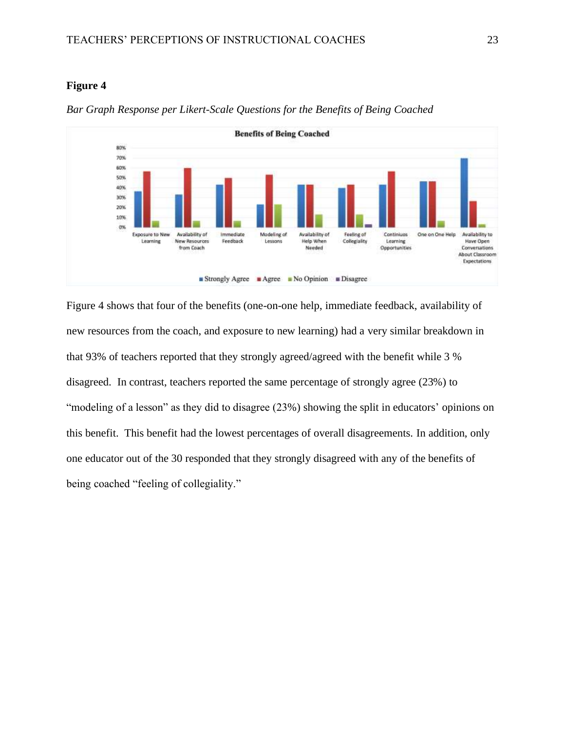## **Figure 4**



*Bar Graph Response per Likert-Scale Questions for the Benefits of Being Coached*

Figure 4 shows that four of the benefits (one-on-one help, immediate feedback, availability of new resources from the coach, and exposure to new learning) had a very similar breakdown in that 93% of teachers reported that they strongly agreed/agreed with the benefit while 3 % disagreed. In contrast, teachers reported the same percentage of strongly agree (23%) to "modeling of a lesson" as they did to disagree (23%) showing the split in educators' opinions on this benefit. This benefit had the lowest percentages of overall disagreements. In addition, only one educator out of the 30 responded that they strongly disagreed with any of the benefits of being coached "feeling of collegiality."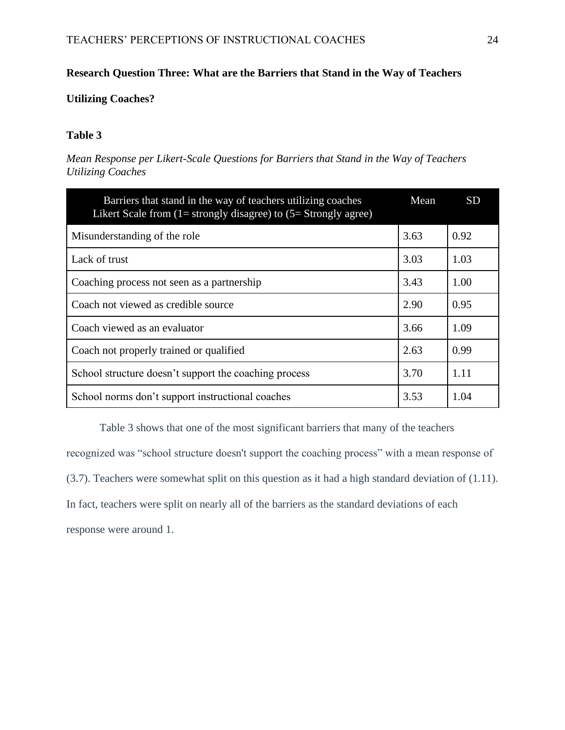## **Research Question Three: What are the Barriers that Stand in the Way of Teachers**

## **Utilizing Coaches?**

## **Table 3**

*Mean Response per Likert-Scale Questions for Barriers that Stand in the Way of Teachers Utilizing Coaches*

| Barriers that stand in the way of teachers utilizing coaches<br>Likert Scale from $(1 =$ strongly disagree) to $(5 =$ Strongly agree) | Mean | <b>SD</b> |
|---------------------------------------------------------------------------------------------------------------------------------------|------|-----------|
| Misunderstanding of the role                                                                                                          | 3.63 | 0.92      |
| Lack of trust                                                                                                                         | 3.03 | 1.03      |
| Coaching process not seen as a partnership                                                                                            | 3.43 | 1.00      |
| Coach not viewed as credible source                                                                                                   | 2.90 | 0.95      |
| Coach viewed as an evaluator                                                                                                          | 3.66 | 1.09      |
| Coach not properly trained or qualified                                                                                               | 2.63 | 0.99      |
| School structure doesn't support the coaching process                                                                                 | 3.70 | 1.11      |
| School norms don't support instructional coaches                                                                                      | 3.53 | 1.04      |

Table 3 shows that one of the most significant barriers that many of the teachers recognized was "school structure doesn't support the coaching process" with a mean response of (3.7). Teachers were somewhat split on this question as it had a high standard deviation of (1.11). In fact, teachers were split on nearly all of the barriers as the standard deviations of each response were around 1.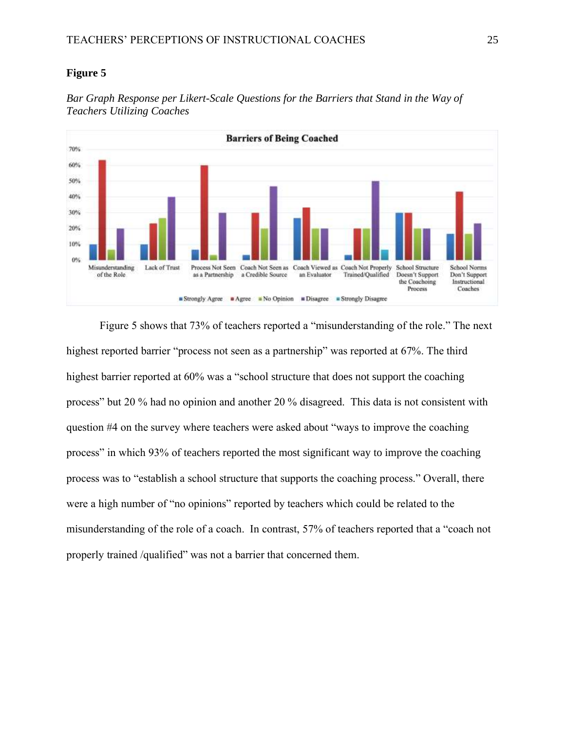## **Figure 5**





Figure 5 shows that 73% of teachers reported a "misunderstanding of the role." The next highest reported barrier "process not seen as a partnership" was reported at 67%. The third highest barrier reported at 60% was a "school structure that does not support the coaching process" but 20 % had no opinion and another 20 % disagreed. This data is not consistent with question #4 on the survey where teachers were asked about "ways to improve the coaching process" in which 93% of teachers reported the most significant way to improve the coaching process was to "establish a school structure that supports the coaching process." Overall, there were a high number of "no opinions" reported by teachers which could be related to the misunderstanding of the role of a coach. In contrast, 57% of teachers reported that a "coach not properly trained /qualified" was not a barrier that concerned them.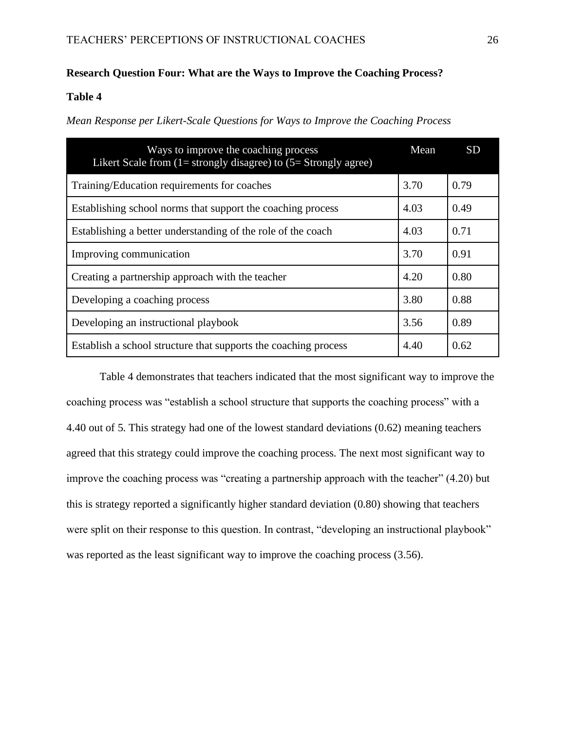## **Research Question Four: What are the Ways to Improve the Coaching Process?**

## **Table 4**

*Mean Response per Likert-Scale Questions for Ways to Improve the Coaching Process*

| Ways to improve the coaching process<br>Likert Scale from $(1 =$ strongly disagree) to $(5 =$ Strongly agree) | Mean | <b>SD</b> |
|---------------------------------------------------------------------------------------------------------------|------|-----------|
| Training/Education requirements for coaches                                                                   | 3.70 | 0.79      |
| Establishing school norms that support the coaching process                                                   | 4.03 | 0.49      |
| Establishing a better understanding of the role of the coach                                                  | 4.03 | 0.71      |
| Improving communication                                                                                       | 3.70 | 0.91      |
| Creating a partnership approach with the teacher                                                              | 4.20 | 0.80      |
| Developing a coaching process                                                                                 | 3.80 | 0.88      |
| Developing an instructional playbook                                                                          | 3.56 | 0.89      |
| Establish a school structure that supports the coaching process                                               | 4.40 | 0.62      |

Table 4 demonstrates that teachers indicated that the most significant way to improve the coaching process was "establish a school structure that supports the coaching process" with a 4.40 out of 5. This strategy had one of the lowest standard deviations (0.62) meaning teachers agreed that this strategy could improve the coaching process. The next most significant way to improve the coaching process was "creating a partnership approach with the teacher" (4.20) but this is strategy reported a significantly higher standard deviation (0.80) showing that teachers were split on their response to this question. In contrast, "developing an instructional playbook" was reported as the least significant way to improve the coaching process  $(3.56)$ .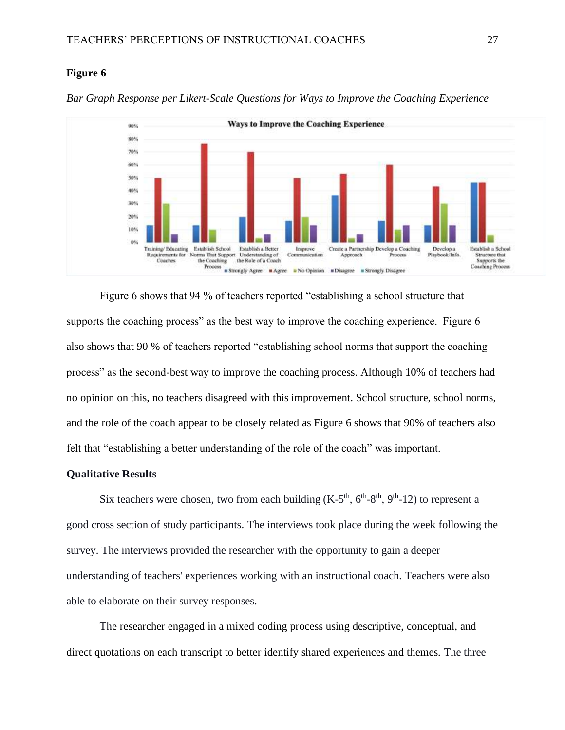## **Figure 6**





Figure 6 shows that 94 % of teachers reported "establishing a school structure that supports the coaching process" as the best way to improve the coaching experience. Figure 6 also shows that 90 % of teachers reported "establishing school norms that support the coaching process" as the second-best way to improve the coaching process. Although 10% of teachers had no opinion on this, no teachers disagreed with this improvement. School structure, school norms, and the role of the coach appear to be closely related as Figure 6 shows that 90% of teachers also felt that "establishing a better understanding of the role of the coach" was important.

### **Qualitative Results**

Six teachers were chosen, two from each building  $(K-5<sup>th</sup>, 6<sup>th</sup>-8<sup>th</sup>, 9<sup>th</sup>-12)$  to represent a good cross section of study participants. The interviews took place during the week following the survey. The interviews provided the researcher with the opportunity to gain a deeper understanding of teachers' experiences working with an instructional coach. Teachers were also able to elaborate on their survey responses.

The researcher engaged in a mixed coding process using descriptive, conceptual, and direct quotations on each transcript to better identify shared experiences and themes. The three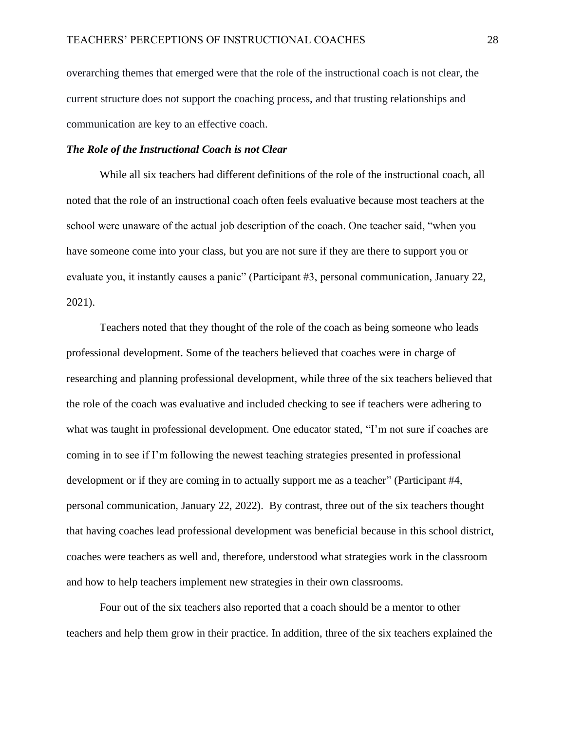overarching themes that emerged were that the role of the instructional coach is not clear, the current structure does not support the coaching process, and that trusting relationships and communication are key to an effective coach.

### *The Role of the Instructional Coach is not Clear*

While all six teachers had different definitions of the role of the instructional coach, all noted that the role of an instructional coach often feels evaluative because most teachers at the school were unaware of the actual job description of the coach. One teacher said, "when you have someone come into your class, but you are not sure if they are there to support you or evaluate you, it instantly causes a panic" (Participant #3, personal communication, January 22, 2021).

Teachers noted that they thought of the role of the coach as being someone who leads professional development. Some of the teachers believed that coaches were in charge of researching and planning professional development, while three of the six teachers believed that the role of the coach was evaluative and included checking to see if teachers were adhering to what was taught in professional development. One educator stated, "I'm not sure if coaches are coming in to see if I'm following the newest teaching strategies presented in professional development or if they are coming in to actually support me as a teacher" (Participant #4, personal communication, January 22, 2022). By contrast, three out of the six teachers thought that having coaches lead professional development was beneficial because in this school district, coaches were teachers as well and, therefore, understood what strategies work in the classroom and how to help teachers implement new strategies in their own classrooms.

Four out of the six teachers also reported that a coach should be a mentor to other teachers and help them grow in their practice. In addition, three of the six teachers explained the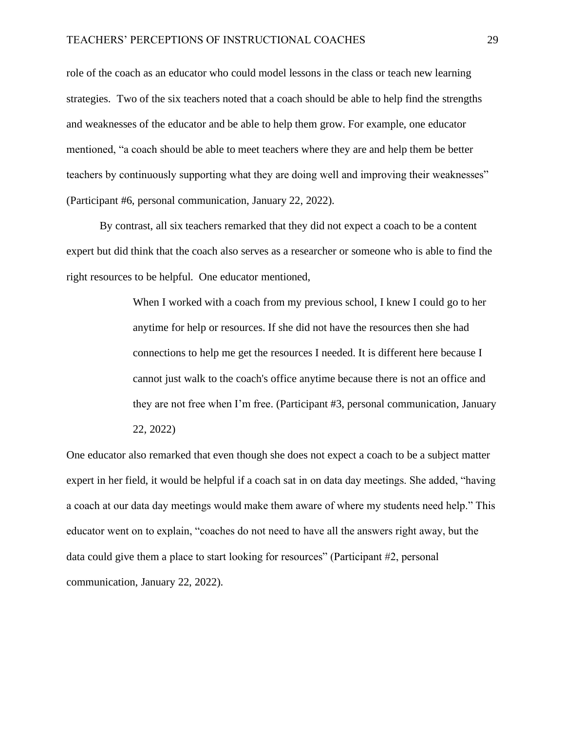role of the coach as an educator who could model lessons in the class or teach new learning strategies. Two of the six teachers noted that a coach should be able to help find the strengths and weaknesses of the educator and be able to help them grow. For example, one educator mentioned, "a coach should be able to meet teachers where they are and help them be better teachers by continuously supporting what they are doing well and improving their weaknesses" (Participant #6, personal communication, January 22, 2022).

By contrast, all six teachers remarked that they did not expect a coach to be a content expert but did think that the coach also serves as a researcher or someone who is able to find the right resources to be helpful. One educator mentioned,

> When I worked with a coach from my previous school, I knew I could go to her anytime for help or resources. If she did not have the resources then she had connections to help me get the resources I needed. It is different here because I cannot just walk to the coach's office anytime because there is not an office and they are not free when I'm free. (Participant #3, personal communication, January 22, 2022)

One educator also remarked that even though she does not expect a coach to be a subject matter expert in her field, it would be helpful if a coach sat in on data day meetings. She added, "having a coach at our data day meetings would make them aware of where my students need help." This educator went on to explain, "coaches do not need to have all the answers right away, but the data could give them a place to start looking for resources" (Participant #2, personal communication, January 22, 2022).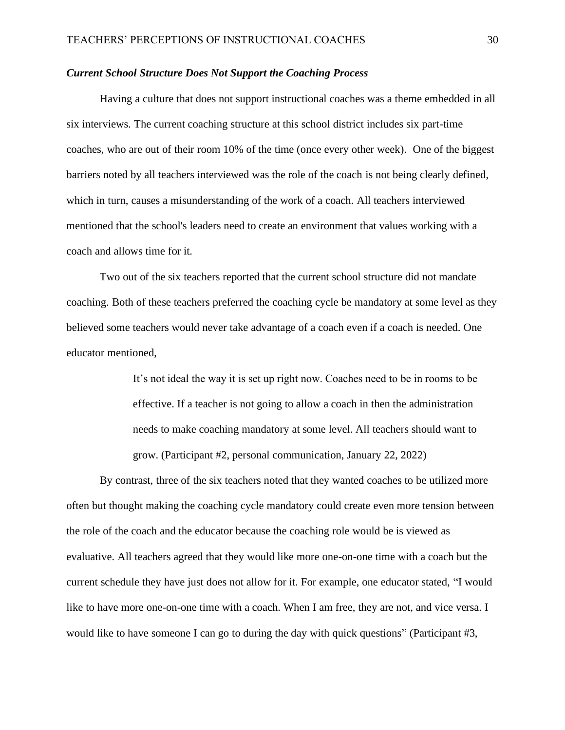### *Current School Structure Does Not Support the Coaching Process*

Having a culture that does not support instructional coaches was a theme embedded in all six interviews. The current coaching structure at this school district includes six part-time coaches, who are out of their room 10% of the time (once every other week). One of the biggest barriers noted by all teachers interviewed was the role of the coach is not being clearly defined, which in turn, causes a misunderstanding of the work of a coach. All teachers interviewed mentioned that the school's leaders need to create an environment that values working with a coach and allows time for it.

Two out of the six teachers reported that the current school structure did not mandate coaching. Both of these teachers preferred the coaching cycle be mandatory at some level as they believed some teachers would never take advantage of a coach even if a coach is needed. One educator mentioned,

> It's not ideal the way it is set up right now. Coaches need to be in rooms to be effective. If a teacher is not going to allow a coach in then the administration needs to make coaching mandatory at some level. All teachers should want to grow. (Participant #2, personal communication, January 22, 2022)

By contrast, three of the six teachers noted that they wanted coaches to be utilized more often but thought making the coaching cycle mandatory could create even more tension between the role of the coach and the educator because the coaching role would be is viewed as evaluative. All teachers agreed that they would like more one-on-one time with a coach but the current schedule they have just does not allow for it. For example, one educator stated, "I would like to have more one-on-one time with a coach. When I am free, they are not, and vice versa. I would like to have someone I can go to during the day with quick questions" (Participant #3,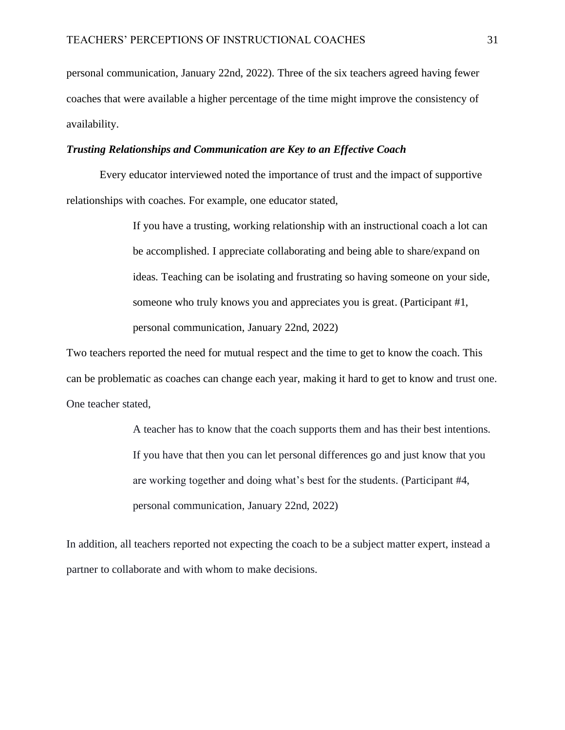personal communication, January 22nd, 2022). Three of the six teachers agreed having fewer coaches that were available a higher percentage of the time might improve the consistency of availability.

### *Trusting Relationships and Communication are Key to an Effective Coach*

Every educator interviewed noted the importance of trust and the impact of supportive relationships with coaches. For example, one educator stated,

> If you have a trusting, working relationship with an instructional coach a lot can be accomplished. I appreciate collaborating and being able to share/expand on ideas. Teaching can be isolating and frustrating so having someone on your side, someone who truly knows you and appreciates you is great. (Participant #1, personal communication, January 22nd, 2022)

Two teachers reported the need for mutual respect and the time to get to know the coach. This can be problematic as coaches can change each year, making it hard to get to know and trust one. One teacher stated,

> A teacher has to know that the coach supports them and has their best intentions. If you have that then you can let personal differences go and just know that you are working together and doing what's best for the students. (Participant #4, personal communication, January 22nd, 2022)

In addition, all teachers reported not expecting the coach to be a subject matter expert, instead a partner to collaborate and with whom to make decisions.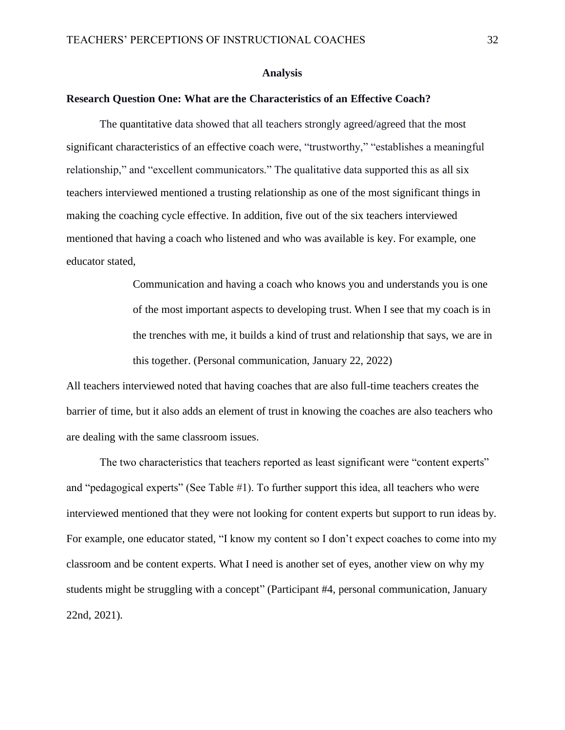#### **Analysis**

#### **Research Question One: What are the Characteristics of an Effective Coach?**

The quantitative data showed that all teachers strongly agreed/agreed that the most significant characteristics of an effective coach were, "trustworthy," "establishes a meaningful relationship," and "excellent communicators." The qualitative data supported this as all six teachers interviewed mentioned a trusting relationship as one of the most significant things in making the coaching cycle effective. In addition, five out of the six teachers interviewed mentioned that having a coach who listened and who was available is key. For example, one educator stated,

> Communication and having a coach who knows you and understands you is one of the most important aspects to developing trust. When I see that my coach is in the trenches with me, it builds a kind of trust and relationship that says, we are in this together. (Personal communication, January 22, 2022)

All teachers interviewed noted that having coaches that are also full-time teachers creates the barrier of time, but it also adds an element of trust in knowing the coaches are also teachers who are dealing with the same classroom issues.

The two characteristics that teachers reported as least significant were "content experts" and "pedagogical experts" (See Table #1). To further support this idea, all teachers who were interviewed mentioned that they were not looking for content experts but support to run ideas by. For example, one educator stated, "I know my content so I don't expect coaches to come into my classroom and be content experts. What I need is another set of eyes, another view on why my students might be struggling with a concept" (Participant #4, personal communication, January 22nd, 2021).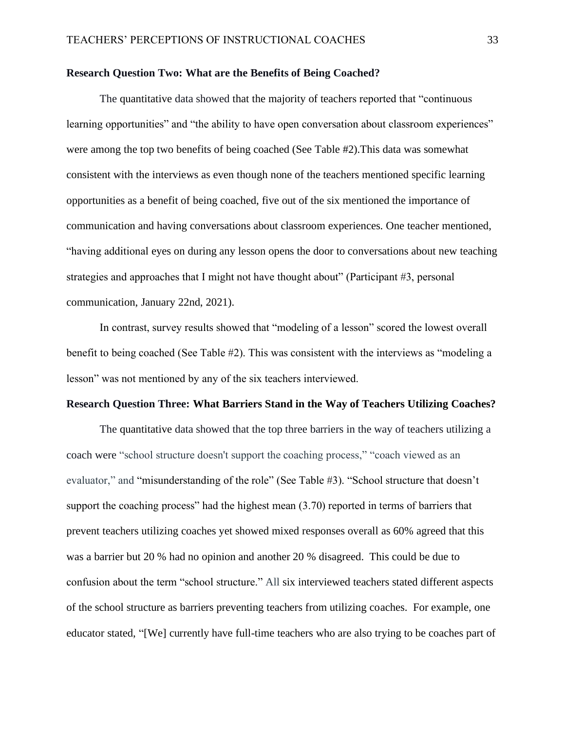#### **Research Question Two: What are the Benefits of Being Coached?**

The quantitative data showed that the majority of teachers reported that "continuous learning opportunities" and "the ability to have open conversation about classroom experiences" were among the top two benefits of being coached (See Table #2).This data was somewhat consistent with the interviews as even though none of the teachers mentioned specific learning opportunities as a benefit of being coached, five out of the six mentioned the importance of communication and having conversations about classroom experiences. One teacher mentioned, "having additional eyes on during any lesson opens the door to conversations about new teaching strategies and approaches that I might not have thought about" (Participant #3, personal communication, January 22nd, 2021).

In contrast, survey results showed that "modeling of a lesson" scored the lowest overall benefit to being coached (See Table #2). This was consistent with the interviews as "modeling a lesson" was not mentioned by any of the six teachers interviewed.

#### **Research Question Three: What Barriers Stand in the Way of Teachers Utilizing Coaches?**

The quantitative data showed that the top three barriers in the way of teachers utilizing a coach were "school structure doesn't support the coaching process," "coach viewed as an evaluator," and "misunderstanding of the role" (See Table #3). "School structure that doesn't support the coaching process" had the highest mean  $(3.70)$  reported in terms of barriers that prevent teachers utilizing coaches yet showed mixed responses overall as 60% agreed that this was a barrier but 20 % had no opinion and another 20 % disagreed. This could be due to confusion about the term "school structure." All six interviewed teachers stated different aspects of the school structure as barriers preventing teachers from utilizing coaches. For example, one educator stated, "[We] currently have full-time teachers who are also trying to be coaches part of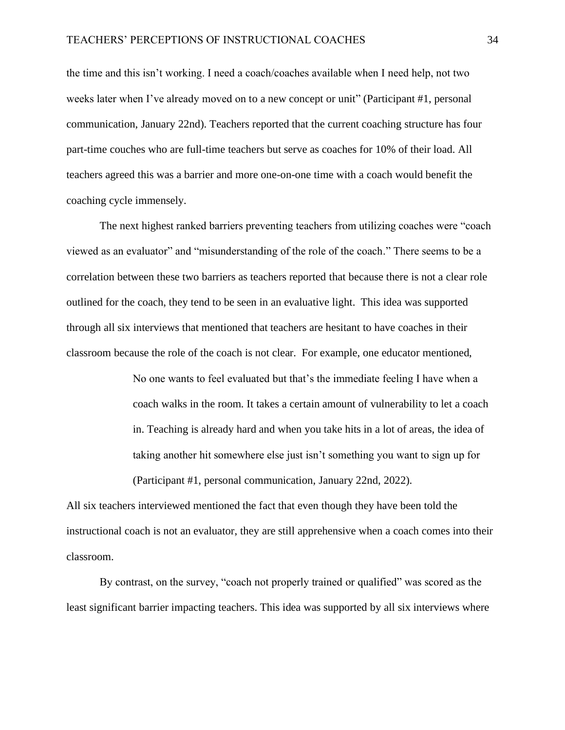the time and this isn't working. I need a coach/coaches available when I need help, not two weeks later when I've already moved on to a new concept or unit" (Participant #1, personal communication, January 22nd). Teachers reported that the current coaching structure has four part-time couches who are full-time teachers but serve as coaches for 10% of their load. All teachers agreed this was a barrier and more one-on-one time with a coach would benefit the coaching cycle immensely.

The next highest ranked barriers preventing teachers from utilizing coaches were "coach viewed as an evaluator" and "misunderstanding of the role of the coach." There seems to be a correlation between these two barriers as teachers reported that because there is not a clear role outlined for the coach, they tend to be seen in an evaluative light. This idea was supported through all six interviews that mentioned that teachers are hesitant to have coaches in their classroom because the role of the coach is not clear. For example, one educator mentioned,

> No one wants to feel evaluated but that's the immediate feeling I have when a coach walks in the room. It takes a certain amount of vulnerability to let a coach in. Teaching is already hard and when you take hits in a lot of areas, the idea of taking another hit somewhere else just isn't something you want to sign up for (Participant #1, personal communication, January 22nd, 2022).

All six teachers interviewed mentioned the fact that even though they have been told the instructional coach is not an evaluator, they are still apprehensive when a coach comes into their classroom.

By contrast, on the survey, "coach not properly trained or qualified" was scored as the least significant barrier impacting teachers. This idea was supported by all six interviews where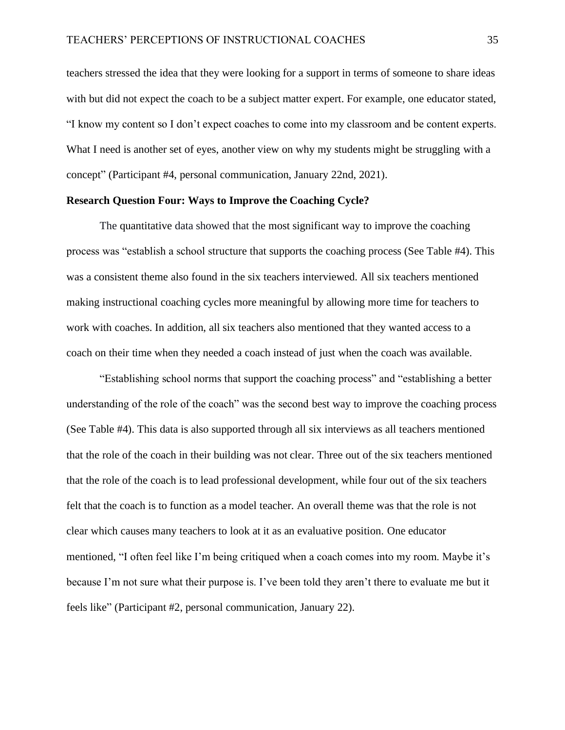teachers stressed the idea that they were looking for a support in terms of someone to share ideas with but did not expect the coach to be a subject matter expert. For example, one educator stated, "I know my content so I don't expect coaches to come into my classroom and be content experts. What I need is another set of eyes, another view on why my students might be struggling with a concept" (Participant #4, personal communication, January 22nd, 2021).

#### **Research Question Four: Ways to Improve the Coaching Cycle?**

The quantitative data showed that the most significant way to improve the coaching process was "establish a school structure that supports the coaching process (See Table #4). This was a consistent theme also found in the six teachers interviewed. All six teachers mentioned making instructional coaching cycles more meaningful by allowing more time for teachers to work with coaches. In addition, all six teachers also mentioned that they wanted access to a coach on their time when they needed a coach instead of just when the coach was available.

"Establishing school norms that support the coaching process" and "establishing a better understanding of the role of the coach" was the second best way to improve the coaching process (See Table #4). This data is also supported through all six interviews as all teachers mentioned that the role of the coach in their building was not clear. Three out of the six teachers mentioned that the role of the coach is to lead professional development, while four out of the six teachers felt that the coach is to function as a model teacher. An overall theme was that the role is not clear which causes many teachers to look at it as an evaluative position. One educator mentioned, "I often feel like I'm being critiqued when a coach comes into my room. Maybe it's because I'm not sure what their purpose is. I've been told they aren't there to evaluate me but it feels like" (Participant #2, personal communication, January 22).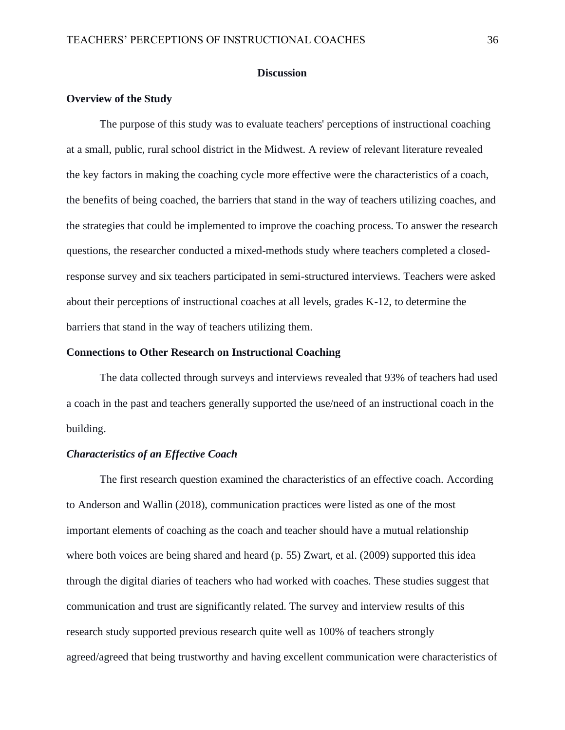#### **Discussion**

### **Overview of the Study**

The purpose of this study was to evaluate teachers' perceptions of instructional coaching at a small, public, rural school district in the Midwest. A review of relevant literature revealed the key factors in making the coaching cycle more effective were the characteristics of a coach, the benefits of being coached, the barriers that stand in the way of teachers utilizing coaches, and the strategies that could be implemented to improve the coaching process. To answer the research questions, the researcher conducted a mixed-methods study where teachers completed a closedresponse survey and six teachers participated in semi-structured interviews. Teachers were asked about their perceptions of instructional coaches at all levels, grades K-12, to determine the barriers that stand in the way of teachers utilizing them.

## **Connections to Other Research on Instructional Coaching**

 The data collected through surveys and interviews revealed that 93% of teachers had used a coach in the past and teachers generally supported the use/need of an instructional coach in the building.

## *Characteristics of an Effective Coach*

 The first research question examined the characteristics of an effective coach. According to Anderson and Wallin (2018), communication practices were listed as one of the most important elements of coaching as the coach and teacher should have a mutual relationship where both voices are being shared and heard (p. 55) Zwart, et al. (2009) supported this idea through the digital diaries of teachers who had worked with coaches. These studies suggest that communication and trust are significantly related. The survey and interview results of this research study supported previous research quite well as 100% of teachers strongly agreed/agreed that being trustworthy and having excellent communication were characteristics of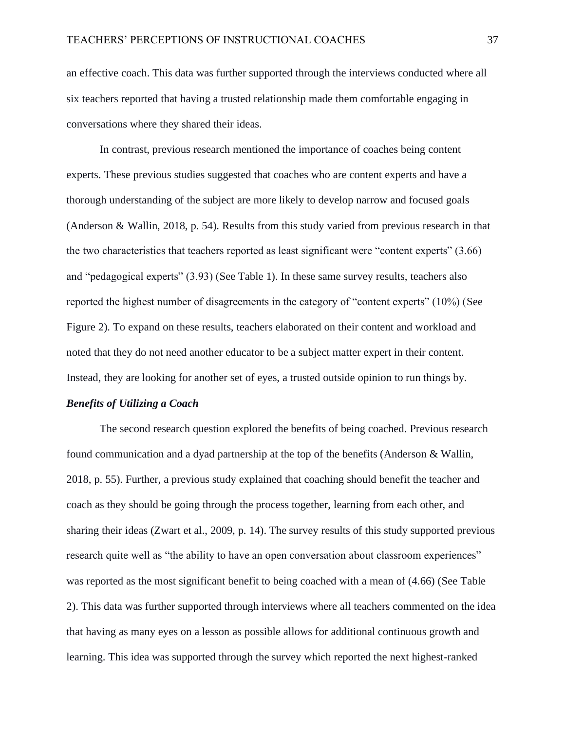an effective coach. This data was further supported through the interviews conducted where all six teachers reported that having a trusted relationship made them comfortable engaging in conversations where they shared their ideas.

In contrast, previous research mentioned the importance of coaches being content experts. These previous studies suggested that coaches who are content experts and have a thorough understanding of the subject are more likely to develop narrow and focused goals (Anderson & Wallin, 2018, p. 54). Results from this study varied from previous research in that the two characteristics that teachers reported as least significant were "content experts" (3.66) and "pedagogical experts" (3.93) (See Table 1). In these same survey results, teachers also reported the highest number of disagreements in the category of "content experts" (10%) (See Figure 2). To expand on these results, teachers elaborated on their content and workload and noted that they do not need another educator to be a subject matter expert in their content. Instead, they are looking for another set of eyes, a trusted outside opinion to run things by.

## *Benefits of Utilizing a Coach*

 The second research question explored the benefits of being coached. Previous research found communication and a dyad partnership at the top of the benefits (Anderson & Wallin, 2018, p. 55). Further, a previous study explained that coaching should benefit the teacher and coach as they should be going through the process together, learning from each other, and sharing their ideas (Zwart et al., 2009, p. 14). The survey results of this study supported previous research quite well as "the ability to have an open conversation about classroom experiences" was reported as the most significant benefit to being coached with a mean of  $(4.66)$  (See Table 2). This data was further supported through interviews where all teachers commented on the idea that having as many eyes on a lesson as possible allows for additional continuous growth and learning. This idea was supported through the survey which reported the next highest-ranked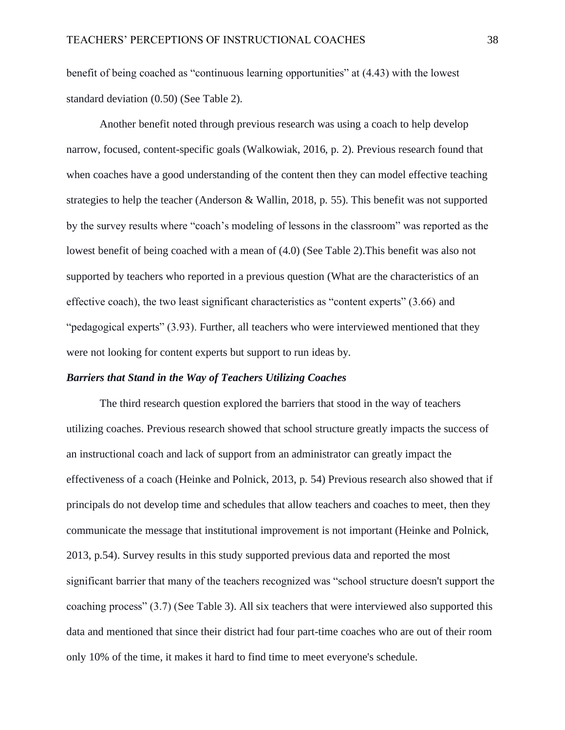benefit of being coached as "continuous learning opportunities" at (4.43) with the lowest standard deviation (0.50) (See Table 2).

Another benefit noted through previous research was using a coach to help develop narrow, focused, content-specific goals (Walkowiak, 2016, p. 2). Previous research found that when coaches have a good understanding of the content then they can model effective teaching strategies to help the teacher (Anderson & Wallin, 2018, p. 55). This benefit was not supported by the survey results where "coach's modeling of lessons in the classroom" was reported as the lowest benefit of being coached with a mean of (4.0) (See Table 2).This benefit was also not supported by teachers who reported in a previous question (What are the characteristics of an effective coach), the two least significant characteristics as "content experts" (3.66) and "pedagogical experts" (3.93). Further, all teachers who were interviewed mentioned that they were not looking for content experts but support to run ideas by.

## *Barriers that Stand in the Way of Teachers Utilizing Coaches*

The third research question explored the barriers that stood in the way of teachers utilizing coaches. Previous research showed that school structure greatly impacts the success of an instructional coach and lack of support from an administrator can greatly impact the effectiveness of a coach (Heinke and Polnick, 2013, p. 54) Previous research also showed that if principals do not develop time and schedules that allow teachers and coaches to meet, then they communicate the message that institutional improvement is not important (Heinke and Polnick, 2013, p.54). Survey results in this study supported previous data and reported the most significant barrier that many of the teachers recognized was "school structure doesn't support the coaching process" (3.7) (See Table 3). All six teachers that were interviewed also supported this data and mentioned that since their district had four part-time coaches who are out of their room only 10% of the time, it makes it hard to find time to meet everyone's schedule.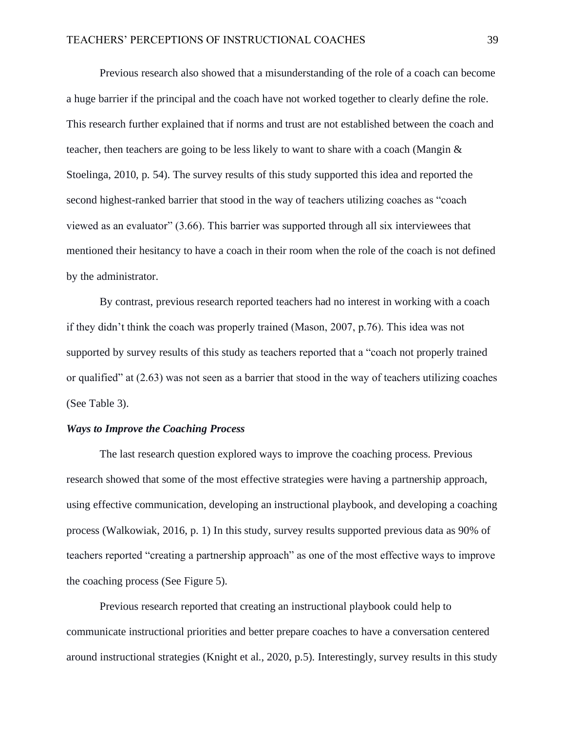Previous research also showed that a misunderstanding of the role of a coach can become a huge barrier if the principal and the coach have not worked together to clearly define the role. This research further explained that if norms and trust are not established between the coach and teacher, then teachers are going to be less likely to want to share with a coach (Mangin & Stoelinga, 2010, p. 54). The survey results of this study supported this idea and reported the second highest-ranked barrier that stood in the way of teachers utilizing coaches as "coach viewed as an evaluator" (3.66). This barrier was supported through all six interviewees that mentioned their hesitancy to have a coach in their room when the role of the coach is not defined by the administrator.

 By contrast, previous research reported teachers had no interest in working with a coach if they didn't think the coach was properly trained (Mason, 2007, p.76). This idea was not supported by survey results of this study as teachers reported that a "coach not properly trained or qualified" at (2.63) was not seen as a barrier that stood in the way of teachers utilizing coaches (See Table 3).

#### *Ways to Improve the Coaching Process*

The last research question explored ways to improve the coaching process. Previous research showed that some of the most effective strategies were having a partnership approach, using effective communication, developing an instructional playbook, and developing a coaching process (Walkowiak, 2016, p. 1) In this study, survey results supported previous data as 90% of teachers reported "creating a partnership approach" as one of the most effective ways to improve the coaching process (See Figure 5).

Previous research reported that creating an instructional playbook could help to communicate instructional priorities and better prepare coaches to have a conversation centered around instructional strategies (Knight et al., 2020, p.5). Interestingly, survey results in this study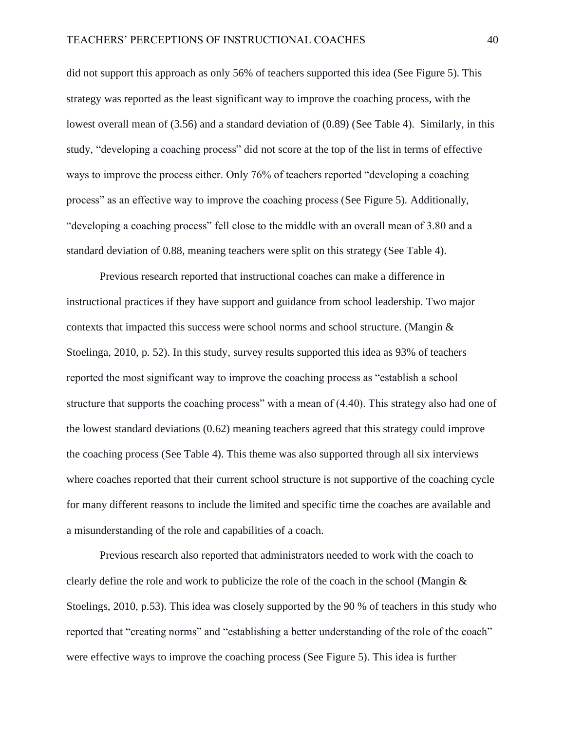did not support this approach as only 56% of teachers supported this idea (See Figure 5). This strategy was reported as the least significant way to improve the coaching process, with the lowest overall mean of (3.56) and a standard deviation of (0.89) (See Table 4). Similarly, in this study, "developing a coaching process" did not score at the top of the list in terms of effective ways to improve the process either. Only 76% of teachers reported "developing a coaching process" as an effective way to improve the coaching process (See Figure 5). Additionally, "developing a coaching process" fell close to the middle with an overall mean of 3.80 and a standard deviation of 0.88, meaning teachers were split on this strategy (See Table 4).

Previous research reported that instructional coaches can make a difference in instructional practices if they have support and guidance from school leadership. Two major contexts that impacted this success were school norms and school structure. (Mangin & Stoelinga, 2010, p. 52). In this study, survey results supported this idea as 93% of teachers reported the most significant way to improve the coaching process as "establish a school structure that supports the coaching process" with a mean of (4.40). This strategy also had one of the lowest standard deviations (0.62) meaning teachers agreed that this strategy could improve the coaching process (See Table 4). This theme was also supported through all six interviews where coaches reported that their current school structure is not supportive of the coaching cycle for many different reasons to include the limited and specific time the coaches are available and a misunderstanding of the role and capabilities of a coach.

Previous research also reported that administrators needed to work with the coach to clearly define the role and work to publicize the role of the coach in the school (Mangin & Stoelings, 2010, p.53). This idea was closely supported by the 90 % of teachers in this study who reported that "creating norms" and "establishing a better understanding of the role of the coach" were effective ways to improve the coaching process (See Figure 5). This idea is further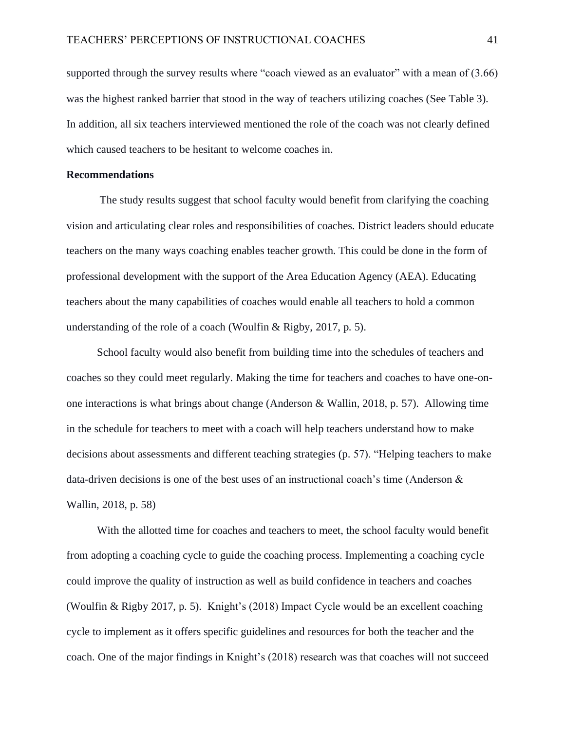supported through the survey results where "coach viewed as an evaluator" with a mean of (3.66) was the highest ranked barrier that stood in the way of teachers utilizing coaches (See Table 3). In addition, all six teachers interviewed mentioned the role of the coach was not clearly defined which caused teachers to be hesitant to welcome coaches in.

## **Recommendations**

The study results suggest that school faculty would benefit from clarifying the coaching vision and articulating clear roles and responsibilities of coaches. District leaders should educate teachers on the many ways coaching enables teacher growth. This could be done in the form of professional development with the support of the Area Education Agency (AEA). Educating teachers about the many capabilities of coaches would enable all teachers to hold a common understanding of the role of a coach (Woulfin & Rigby, 2017, p. 5).

 School faculty would also benefit from building time into the schedules of teachers and coaches so they could meet regularly. Making the time for teachers and coaches to have one-onone interactions is what brings about change (Anderson & Wallin, 2018, p. 57). Allowing time in the schedule for teachers to meet with a coach will help teachers understand how to make decisions about assessments and different teaching strategies (p. 57). "Helping teachers to make data-driven decisions is one of the best uses of an instructional coach's time (Anderson  $\&$ Wallin, 2018, p. 58)

 With the allotted time for coaches and teachers to meet, the school faculty would benefit from adopting a coaching cycle to guide the coaching process. Implementing a coaching cycle could improve the quality of instruction as well as build confidence in teachers and coaches (Woulfin & Rigby 2017, p. 5). Knight's (2018) Impact Cycle would be an excellent coaching cycle to implement as it offers specific guidelines and resources for both the teacher and the coach. One of the major findings in Knight's (2018) research was that coaches will not succeed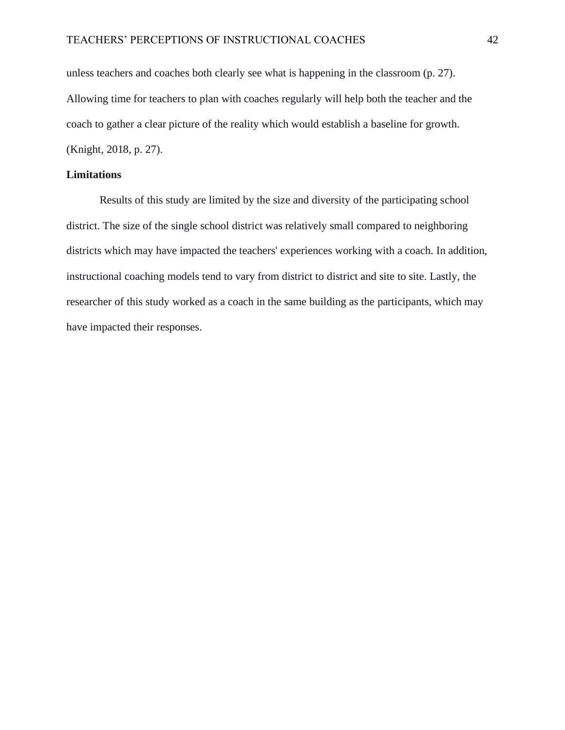unless teachers and coaches both clearly see what is happening in the classroom (p. 27). Allowing time for teachers to plan with coaches regularly will help both the teacher and the coach to gather a clear picture of the reality which would establish a baseline for growth. (Knight, 2018, p. 27).

## **Limitations**

Results of this study are limited by the size and diversity of the participating school district. The size of the single school district was relatively small compared to neighboring districts which may have impacted the teachers' experiences working with a coach. In addition, instructional coaching models tend to vary from district to district and site to site. Lastly, the researcher of this study worked as a coach in the same building as the participants, which may have impacted their responses.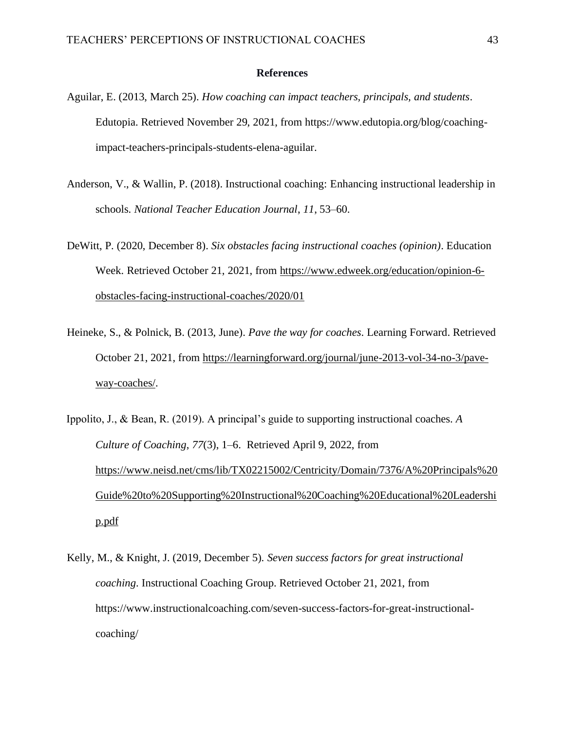#### **References**

- Aguilar, E. (2013, March 25). *How coaching can impact teachers, principals, and students*. Edutopia. Retrieved November 29, 2021, from https://www.edutopia.org/blog/coachingimpact-teachers-principals-students-elena-aguilar.
- Anderson, V., & Wallin, P. (2018). Instructional coaching: Enhancing instructional leadership in schools. *National Teacher Education Journal*, *11*, 53–60.
- DeWitt, P. (2020, December 8). *Six obstacles facing instructional coaches (opinion)*. Education Week. Retrieved October 21, 2021, fro[m](https://www.edweek.org/education/opinion-6-obstacles-facing-instructional-coaches/2020/01) [https://www.edweek.org/education/opinion-6](https://www.edweek.org/education/opinion-6-obstacles-facing-instructional-coaches/2020/01) [obstacles-facing-instructional-coaches/2020/01](https://www.edweek.org/education/opinion-6-obstacles-facing-instructional-coaches/2020/01)
- Heineke, S., & Polnick, B. (2013, June). *Pave the way for coaches*. Learning Forward. Retrieved October 21, 2021, from [https://learningforward.org/journal/june-2013-vol-34-no-3/pave](https://learningforward.org/journal/june-2013-vol-34-no-3/pave-way-coaches/)[way-coaches/.](https://learningforward.org/journal/june-2013-vol-34-no-3/pave-way-coaches/)
- Ippolito, J., & Bean, R. (2019). A principal's guide to supporting instructional coaches. *A Culture of Coaching*, *77*(3), 1–6. Retrieved April 9, 2022, from [https://www.neisd.net/cms/lib/TX02215002/Centricity/Domain/7376/A%20Principals%20](https://www.neisd.net/cms/lib/TX02215002/Centricity/Domain/7376/A%20Principals%20Guide%20to%20Supporting%20Instructional%20Coaching%20Educational%20Leadership.pdf) [Guide%20to%20Supporting%20Instructional%20Coaching%20Educational%20Leadershi](https://www.neisd.net/cms/lib/TX02215002/Centricity/Domain/7376/A%20Principals%20Guide%20to%20Supporting%20Instructional%20Coaching%20Educational%20Leadership.pdf) [p.pdf](https://www.neisd.net/cms/lib/TX02215002/Centricity/Domain/7376/A%20Principals%20Guide%20to%20Supporting%20Instructional%20Coaching%20Educational%20Leadership.pdf)
- Kelly, M., & Knight, J. (2019, December 5). *Seven success factors for great instructional coaching*. Instructional Coaching Group. Retrieved October 21, 2021, from https://www.instructionalcoaching.com/seven-success-factors-for-great-instructionalcoaching/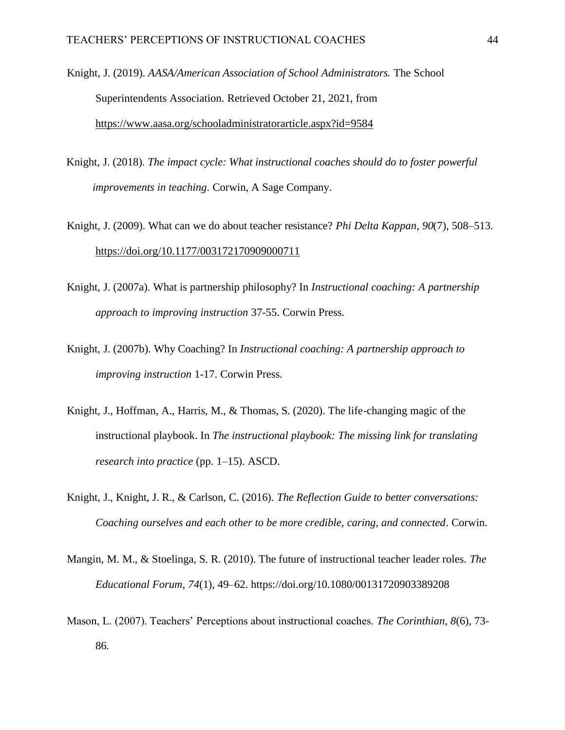- Knight, J. (2019). *AASA/American Association of School Administrators.* The School Superintendents Association. Retrieved October 21, 2021, fro[m](https://www.aasa.org/schooladministratorarticle.aspx?id=9584) <https://www.aasa.org/schooladministratorarticle.aspx?id=9584>
- Knight, J. (2018). *The impact cycle: What instructional coaches should do to foster powerful improvements in teaching*. Corwin, A Sage Company.
- Knight, J. (2009). What can we do about teacher resistance? *Phi Delta Kappan*, *90*(7), 508–513[.](https://doi.org/10.1177/003172170909000711) <https://doi.org/10.1177/003172170909000711>
- Knight, J. (2007a). What is partnership philosophy? In *Instructional coaching: A partnership approach to improving instruction* 37-55. Corwin Press.
- Knight, J. (2007b). Why Coaching? In *Instructional coaching: A partnership approach to improving instruction* 1-17. Corwin Press.
- Knight, J., Hoffman, A., Harris, M., & Thomas, S. (2020). The life-changing magic of the instructional playbook. In *The instructional playbook: The missing link for translating research into practice* (pp. 1–15). ASCD.
- Knight, J., Knight, J. R., & Carlson, C. (2016). *The Reflection Guide to better conversations: Coaching ourselves and each other to be more credible, caring, and connected*. Corwin.
- Mangin, M. M., & Stoelinga, S. R. (2010). The future of instructional teacher leader roles. *The Educational Forum*, *74*(1), 49–62. https://doi.org/10.1080/00131720903389208
- Mason, L. (2007). Teachers' Perceptions about instructional coaches. *The Corinthian, 8*(6), 73- 86*.*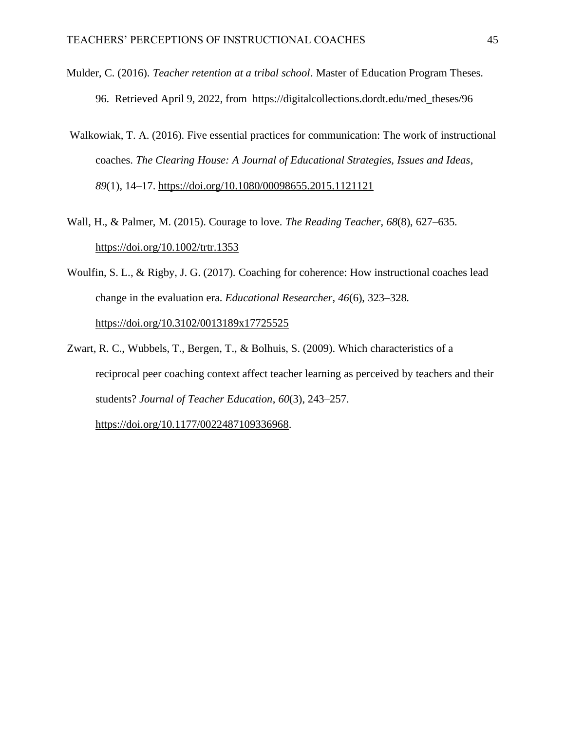- Mulder, C. (2016). *Teacher retention at a tribal school*. Master of Education Program Theses. 96. Retrieved April 9, 2022, from https://digitalcollections.dordt.edu/med\_theses/96
- Walkowiak, T. A. (2016). Five essential practices for communication: The work of instructional coaches. *The Clearing House: A Journal of Educational Strategies, Issues and Ideas*, *89*(1), 14–17[.](https://doi.org/10.1080/00098655.2015.1121121) <https://doi.org/10.1080/00098655.2015.1121121>

Wall, H., & Palmer, M. (2015). Courage to love. *The Reading Teacher*, *68*(8), 627–635[.](https://doi.org/10.1002/trtr.1353) <https://doi.org/10.1002/trtr.1353>

- Woulfin, S. L., & Rigby, J. G. (2017). Coaching for coherence: How instructional coaches lead change in the evaluation era. *Educational Researcher*, *46*(6), 323–328[.](https://doi.org/10.3102/0013189x17725525) <https://doi.org/10.3102/0013189x17725525>
- Zwart, R. C., Wubbels, T., Bergen, T., & Bolhuis, S. (2009). Which characteristics of a reciprocal peer coaching context affect teacher learning as perceived by teachers and their students? *Journal of Teacher Education*, *60*(3), 243–257[.](https://doi.org/10.1177/0022487109336968) [https://doi.org/10.1177/0022487109336968.](https://doi.org/10.1177/0022487109336968)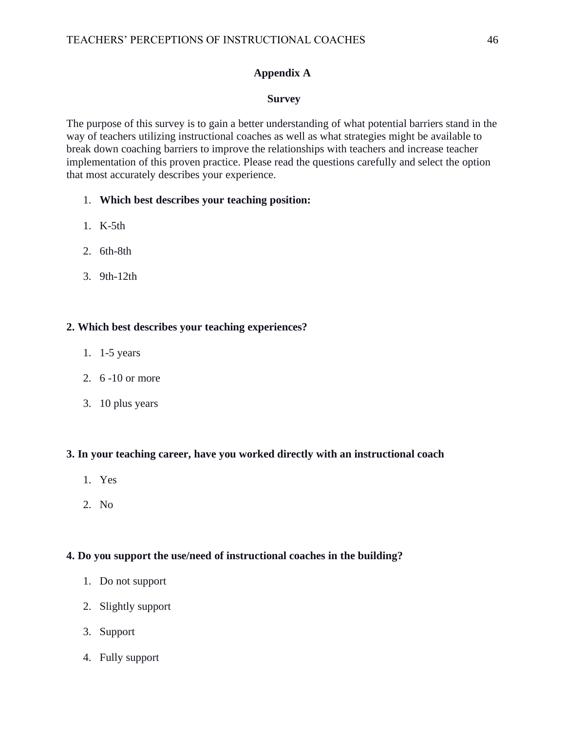## **Appendix A**

## **Survey**

The purpose of this survey is to gain a better understanding of what potential barriers stand in the way of teachers utilizing instructional coaches as well as what strategies might be available to break down coaching barriers to improve the relationships with teachers and increase teacher implementation of this proven practice. Please read the questions carefully and select the option that most accurately describes your experience.

- 1. **Which best describes your teaching position:**
- 1. K-5th
- 2. 6th-8th
- 3. 9th-12th

## **2. Which best describes your teaching experiences?**

- 1. 1-5 years
- 2. 6 -10 or more
- 3. 10 plus years

## **3. In your teaching career, have you worked directly with an instructional coach**

- 1. Yes
- 2. No

## **4. Do you support the use/need of instructional coaches in the building?**

- 1. Do not support
- 2. Slightly support
- 3. Support
- 4. Fully support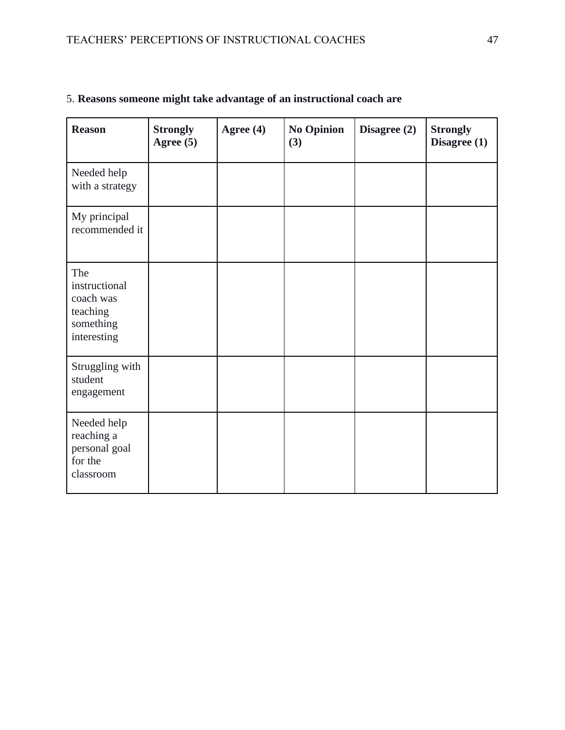| <b>Reason</b>                                                             | <b>Strongly</b><br>Agree $(5)$ | Agree (4) | <b>No Opinion</b><br>(3) | Disagree (2) | <b>Strongly</b><br>Disagree (1) |
|---------------------------------------------------------------------------|--------------------------------|-----------|--------------------------|--------------|---------------------------------|
| Needed help<br>with a strategy                                            |                                |           |                          |              |                                 |
| My principal<br>recommended it                                            |                                |           |                          |              |                                 |
| The<br>instructional<br>coach was<br>teaching<br>something<br>interesting |                                |           |                          |              |                                 |
| Struggling with<br>student<br>engagement                                  |                                |           |                          |              |                                 |
| Needed help<br>reaching a<br>personal goal<br>for the<br>classroom        |                                |           |                          |              |                                 |

## 5. **Reasons someone might take advantage of an instructional coach are**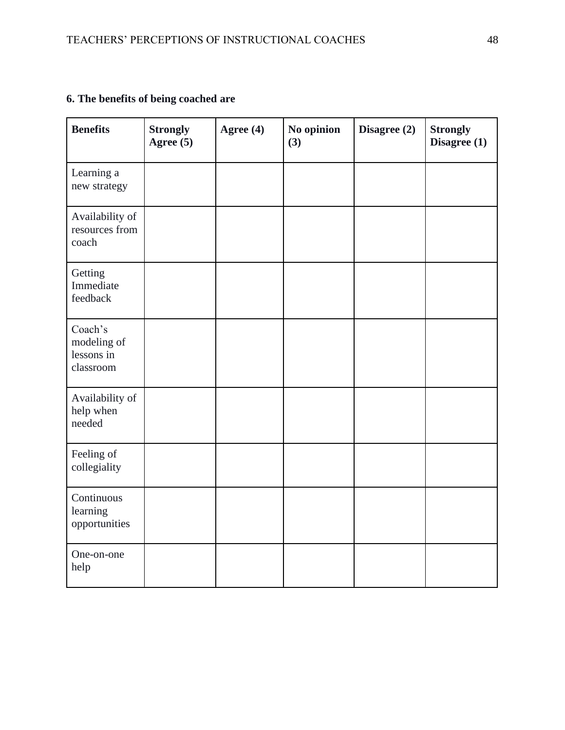## **6. The benefits of being coached are**

| <b>Benefits</b>                                   | <b>Strongly</b><br>Agree $(5)$ | Agree (4) | No opinion<br>(3) | Disagree (2) | <b>Strongly</b><br>Disagree $(1)$ |
|---------------------------------------------------|--------------------------------|-----------|-------------------|--------------|-----------------------------------|
| Learning a<br>new strategy                        |                                |           |                   |              |                                   |
| Availability of<br>resources from<br>coach        |                                |           |                   |              |                                   |
| Getting<br>Immediate<br>feedback                  |                                |           |                   |              |                                   |
| Coach's<br>modeling of<br>lessons in<br>classroom |                                |           |                   |              |                                   |
| Availability of<br>help when<br>needed            |                                |           |                   |              |                                   |
| Feeling of<br>collegiality                        |                                |           |                   |              |                                   |
| Continuous<br>learning<br>opportunities           |                                |           |                   |              |                                   |
| One-on-one<br>help                                |                                |           |                   |              |                                   |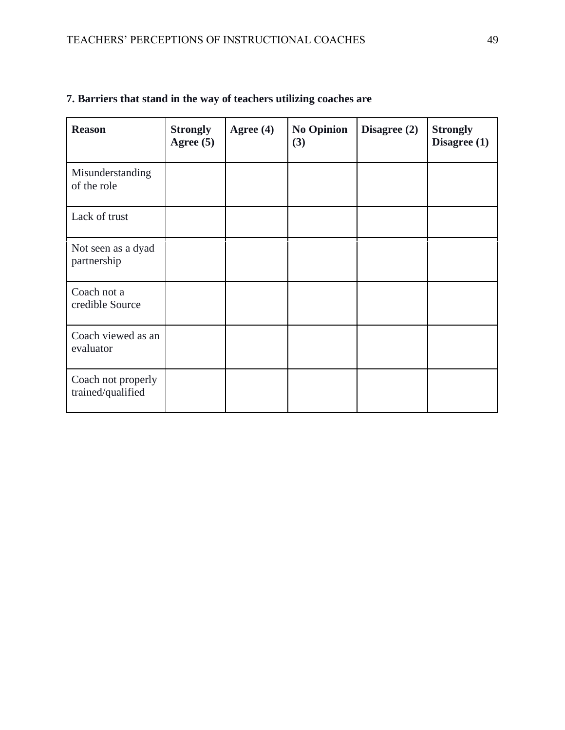| <b>Reason</b>                           | <b>Strongly</b><br>Agree (5) | Agree (4) | <b>No Opinion</b><br>(3) | Disagree $(2)$ | <b>Strongly</b><br>Disagree (1) |
|-----------------------------------------|------------------------------|-----------|--------------------------|----------------|---------------------------------|
| Misunderstanding<br>of the role         |                              |           |                          |                |                                 |
| Lack of trust                           |                              |           |                          |                |                                 |
| Not seen as a dyad<br>partnership       |                              |           |                          |                |                                 |
| Coach not a<br>credible Source          |                              |           |                          |                |                                 |
| Coach viewed as an<br>evaluator         |                              |           |                          |                |                                 |
| Coach not properly<br>trained/qualified |                              |           |                          |                |                                 |

## **7. Barriers that stand in the way of teachers utilizing coaches are**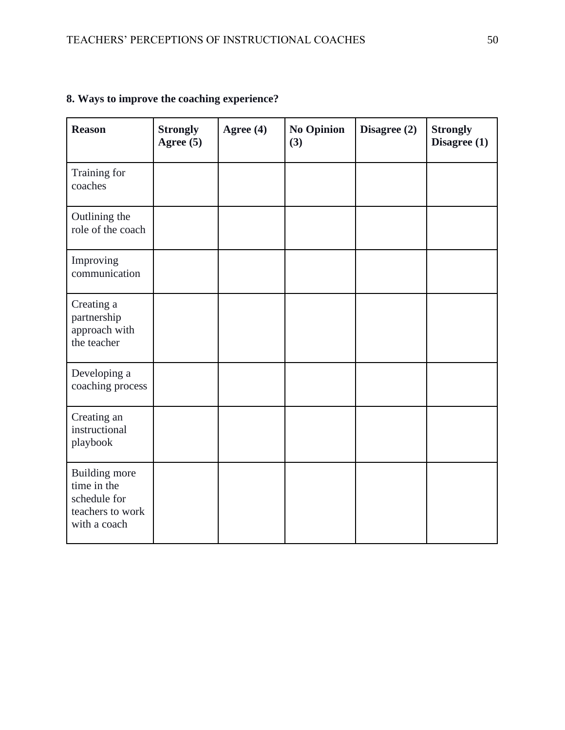| <b>Reason</b>                                                                           | <b>Strongly</b><br>Agree (5) | Agree (4) | <b>No Opinion</b><br>(3) | Disagree (2) | <b>Strongly</b><br>Disagree (1) |
|-----------------------------------------------------------------------------------------|------------------------------|-----------|--------------------------|--------------|---------------------------------|
| Training for<br>coaches                                                                 |                              |           |                          |              |                                 |
| Outlining the<br>role of the coach                                                      |                              |           |                          |              |                                 |
| Improving<br>communication                                                              |                              |           |                          |              |                                 |
| Creating a<br>partnership<br>approach with<br>the teacher                               |                              |           |                          |              |                                 |
| Developing a<br>coaching process                                                        |                              |           |                          |              |                                 |
| Creating an<br>instructional<br>playbook                                                |                              |           |                          |              |                                 |
| <b>Building more</b><br>time in the<br>schedule for<br>teachers to work<br>with a coach |                              |           |                          |              |                                 |

## **8. Ways to improve the coaching experience?**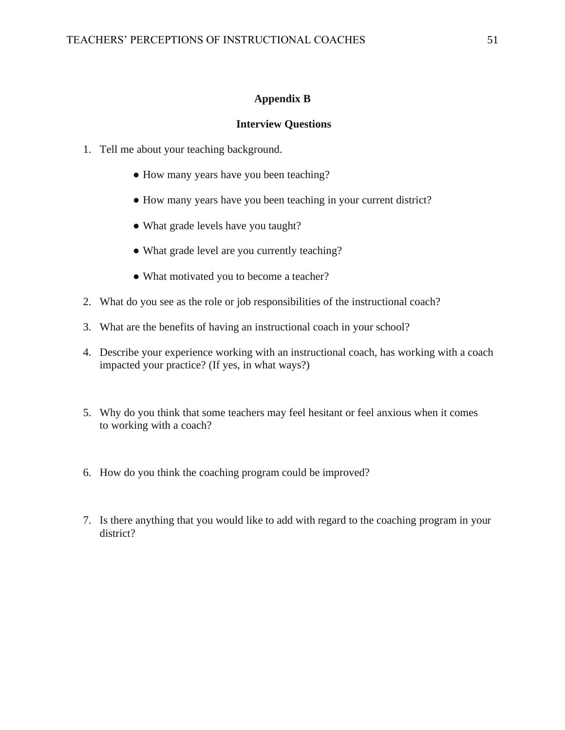## **Appendix B**

## **Interview Questions**

- 1. Tell me about your teaching background.
	- How many years have you been teaching?
	- How many years have you been teaching in your current district?
	- What grade levels have you taught?
	- What grade level are you currently teaching?
	- What motivated you to become a teacher?
- 2. What do you see as the role or job responsibilities of the instructional coach?
- 3. What are the benefits of having an instructional coach in your school?
- 4. Describe your experience working with an instructional coach, has working with a coach impacted your practice? (If yes, in what ways?)
- 5. Why do you think that some teachers may feel hesitant or feel anxious when it comes to working with a coach?
- 6. How do you think the coaching program could be improved?
- 7. Is there anything that you would like to add with regard to the coaching program in your district?